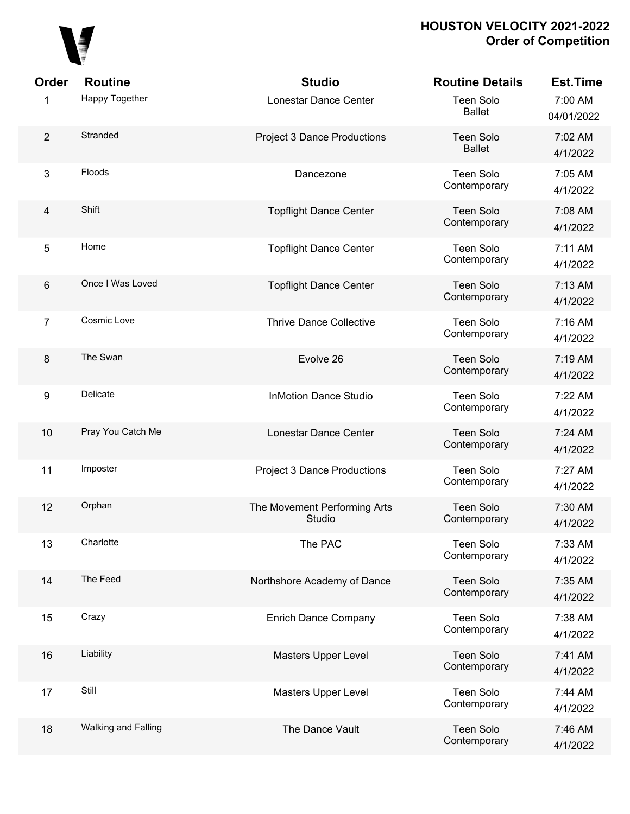

| Order            | <b>Routine</b>      | <b>Studio</b>                          | <b>Routine Details</b>            | <b>Est.Time</b>       |
|------------------|---------------------|----------------------------------------|-----------------------------------|-----------------------|
| 1                | Happy Together      | Lonestar Dance Center                  | <b>Teen Solo</b><br><b>Ballet</b> | 7:00 AM<br>04/01/2022 |
| $\overline{2}$   | Stranded            | <b>Project 3 Dance Productions</b>     | <b>Teen Solo</b><br><b>Ballet</b> | 7:02 AM<br>4/1/2022   |
| $\mathbf{3}$     | Floods              | Dancezone                              | Teen Solo<br>Contemporary         | 7:05 AM<br>4/1/2022   |
| $\overline{4}$   | Shift               | <b>Topflight Dance Center</b>          | <b>Teen Solo</b><br>Contemporary  | 7:08 AM<br>4/1/2022   |
| $\overline{5}$   | Home                | <b>Topflight Dance Center</b>          | <b>Teen Solo</b><br>Contemporary  | 7:11 AM<br>4/1/2022   |
| $\,6\,$          | Once I Was Loved    | <b>Topflight Dance Center</b>          | <b>Teen Solo</b><br>Contemporary  | 7:13 AM<br>4/1/2022   |
| $\overline{7}$   | Cosmic Love         | <b>Thrive Dance Collective</b>         | <b>Teen Solo</b><br>Contemporary  | 7:16 AM<br>4/1/2022   |
| 8                | The Swan            | Evolve 26                              | <b>Teen Solo</b><br>Contemporary  | 7:19 AM<br>4/1/2022   |
| $\boldsymbol{9}$ | Delicate            | <b>InMotion Dance Studio</b>           | <b>Teen Solo</b><br>Contemporary  | 7:22 AM<br>4/1/2022   |
| 10               | Pray You Catch Me   | Lonestar Dance Center                  | <b>Teen Solo</b><br>Contemporary  | 7:24 AM<br>4/1/2022   |
| 11               | Imposter            | <b>Project 3 Dance Productions</b>     | <b>Teen Solo</b><br>Contemporary  | 7:27 AM<br>4/1/2022   |
| 12               | Orphan              | The Movement Performing Arts<br>Studio | <b>Teen Solo</b><br>Contemporary  | 7:30 AM<br>4/1/2022   |
| 13               | Charlotte           | The PAC                                | <b>Teen Solo</b><br>Contemporary  | 7:33 AM<br>4/1/2022   |
| 14               | The Feed            | Northshore Academy of Dance            | <b>Teen Solo</b><br>Contemporary  | 7:35 AM<br>4/1/2022   |
| 15               | Crazy               | <b>Enrich Dance Company</b>            | <b>Teen Solo</b><br>Contemporary  | 7:38 AM<br>4/1/2022   |
| 16               | Liability           | <b>Masters Upper Level</b>             | <b>Teen Solo</b><br>Contemporary  | 7:41 AM<br>4/1/2022   |
| 17               | Still               | Masters Upper Level                    | <b>Teen Solo</b><br>Contemporary  | 7:44 AM<br>4/1/2022   |
| 18               | Walking and Falling | The Dance Vault                        | <b>Teen Solo</b><br>Contemporary  | 7:46 AM<br>4/1/2022   |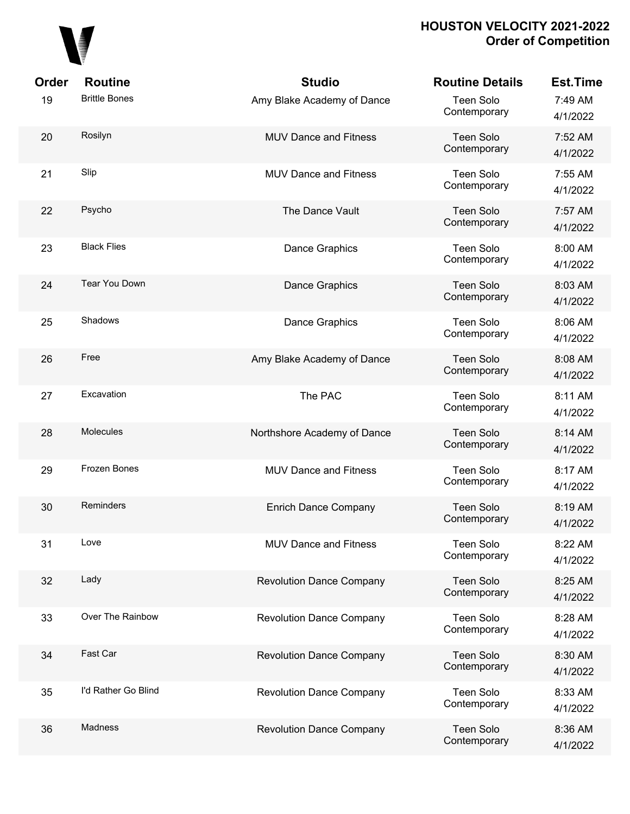

| Order | <b>Routine</b>       | <b>Studio</b>                   | <b>Routine Details</b>           | <b>Est.Time</b>     |
|-------|----------------------|---------------------------------|----------------------------------|---------------------|
| 19    | <b>Brittle Bones</b> | Amy Blake Academy of Dance      | Teen Solo<br>Contemporary        | 7:49 AM<br>4/1/2022 |
| 20    | Rosilyn              | <b>MUV Dance and Fitness</b>    | <b>Teen Solo</b><br>Contemporary | 7:52 AM<br>4/1/2022 |
| 21    | Slip                 | <b>MUV Dance and Fitness</b>    | Teen Solo<br>Contemporary        | 7:55 AM<br>4/1/2022 |
| 22    | Psycho               | The Dance Vault                 | Teen Solo<br>Contemporary        | 7:57 AM<br>4/1/2022 |
| 23    | <b>Black Flies</b>   | Dance Graphics                  | Teen Solo<br>Contemporary        | 8:00 AM<br>4/1/2022 |
| 24    | Tear You Down        | Dance Graphics                  | <b>Teen Solo</b><br>Contemporary | 8:03 AM<br>4/1/2022 |
| 25    | Shadows              | Dance Graphics                  | Teen Solo<br>Contemporary        | 8:06 AM<br>4/1/2022 |
| 26    | Free                 | Amy Blake Academy of Dance      | Teen Solo<br>Contemporary        | 8:08 AM<br>4/1/2022 |
| 27    | Excavation           | The PAC                         | Teen Solo<br>Contemporary        | 8:11 AM<br>4/1/2022 |
| 28    | Molecules            | Northshore Academy of Dance     | <b>Teen Solo</b><br>Contemporary | 8:14 AM<br>4/1/2022 |
| 29    | Frozen Bones         | <b>MUV Dance and Fitness</b>    | Teen Solo<br>Contemporary        | 8:17 AM<br>4/1/2022 |
| 30    | Reminders            | <b>Enrich Dance Company</b>     | <b>Teen Solo</b><br>Contemporary | 8:19 AM<br>4/1/2022 |
| 31    | Love                 | <b>MUV Dance and Fitness</b>    | <b>Teen Solo</b><br>Contemporary | 8:22 AM<br>4/1/2022 |
| 32    | Lady                 | <b>Revolution Dance Company</b> | <b>Teen Solo</b><br>Contemporary | 8:25 AM<br>4/1/2022 |
| 33    | Over The Rainbow     | <b>Revolution Dance Company</b> | Teen Solo<br>Contemporary        | 8:28 AM<br>4/1/2022 |
| 34    | Fast Car             | <b>Revolution Dance Company</b> | <b>Teen Solo</b><br>Contemporary | 8:30 AM<br>4/1/2022 |
| 35    | I'd Rather Go Blind  | <b>Revolution Dance Company</b> | Teen Solo<br>Contemporary        | 8:33 AM<br>4/1/2022 |
| 36    | <b>Madness</b>       | <b>Revolution Dance Company</b> | Teen Solo<br>Contemporary        | 8:36 AM<br>4/1/2022 |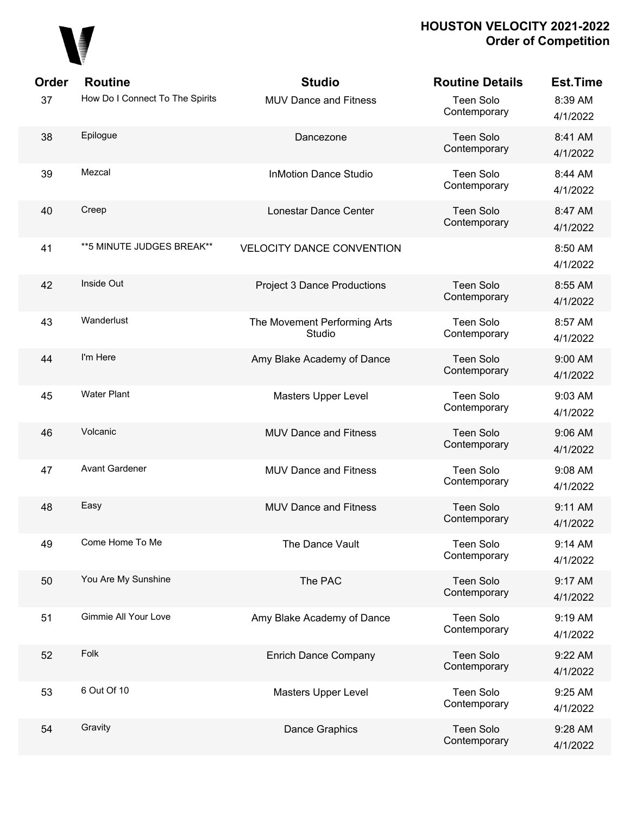

| Order | <b>Routine</b>                  | <b>Studio</b>                          | <b>Routine Details</b>           | <b>Est.Time</b>     |
|-------|---------------------------------|----------------------------------------|----------------------------------|---------------------|
| 37    | How Do I Connect To The Spirits | <b>MUV Dance and Fitness</b>           | <b>Teen Solo</b><br>Contemporary | 8:39 AM<br>4/1/2022 |
| 38    | Epilogue                        | Dancezone                              | <b>Teen Solo</b><br>Contemporary | 8:41 AM<br>4/1/2022 |
| 39    | Mezcal                          | <b>InMotion Dance Studio</b>           | <b>Teen Solo</b><br>Contemporary | 8:44 AM<br>4/1/2022 |
| 40    | Creep                           | Lonestar Dance Center                  | <b>Teen Solo</b><br>Contemporary | 8:47 AM<br>4/1/2022 |
| 41    | ** 5 MINUTE JUDGES BREAK**      | <b>VELOCITY DANCE CONVENTION</b>       |                                  | 8:50 AM<br>4/1/2022 |
| 42    | Inside Out                      | <b>Project 3 Dance Productions</b>     | <b>Teen Solo</b><br>Contemporary | 8:55 AM<br>4/1/2022 |
| 43    | Wanderlust                      | The Movement Performing Arts<br>Studio | <b>Teen Solo</b><br>Contemporary | 8:57 AM<br>4/1/2022 |
| 44    | I'm Here                        | Amy Blake Academy of Dance             | <b>Teen Solo</b><br>Contemporary | 9:00 AM<br>4/1/2022 |
| 45    | <b>Water Plant</b>              | <b>Masters Upper Level</b>             | <b>Teen Solo</b><br>Contemporary | 9:03 AM<br>4/1/2022 |
| 46    | Volcanic                        | <b>MUV Dance and Fitness</b>           | <b>Teen Solo</b><br>Contemporary | 9:06 AM<br>4/1/2022 |
| 47    | <b>Avant Gardener</b>           | <b>MUV Dance and Fitness</b>           | <b>Teen Solo</b><br>Contemporary | 9:08 AM<br>4/1/2022 |
| 48    | Easy                            | <b>MUV Dance and Fitness</b>           | <b>Teen Solo</b><br>Contemporary | 9:11 AM<br>4/1/2022 |
| 49    | Come Home To Me                 | The Dance Vault                        | <b>Teen Solo</b><br>Contemporary | 9:14 AM<br>4/1/2022 |
| 50    | You Are My Sunshine             | The PAC                                | <b>Teen Solo</b><br>Contemporary | 9:17 AM<br>4/1/2022 |
| 51    | Gimmie All Your Love            | Amy Blake Academy of Dance             | <b>Teen Solo</b><br>Contemporary | 9:19 AM<br>4/1/2022 |
| 52    | Folk                            | <b>Enrich Dance Company</b>            | <b>Teen Solo</b><br>Contemporary | 9:22 AM<br>4/1/2022 |
| 53    | 6 Out Of 10                     | Masters Upper Level                    | <b>Teen Solo</b><br>Contemporary | 9:25 AM<br>4/1/2022 |
| 54    | Gravity                         | <b>Dance Graphics</b>                  | <b>Teen Solo</b><br>Contemporary | 9:28 AM<br>4/1/2022 |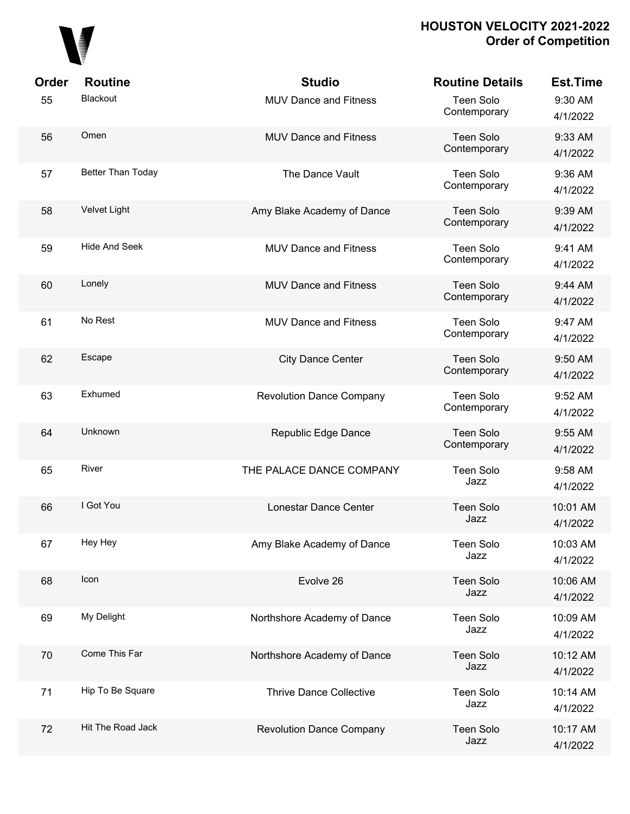

| Order | <b>Routine</b>       | <b>Studio</b>                   | <b>Routine Details</b>           | <b>Est.Time</b>      |
|-------|----------------------|---------------------------------|----------------------------------|----------------------|
| 55    | Blackout             | <b>MUV Dance and Fitness</b>    | Teen Solo<br>Contemporary        | 9:30 AM<br>4/1/2022  |
| 56    | Omen                 | <b>MUV Dance and Fitness</b>    | <b>Teen Solo</b><br>Contemporary | 9:33 AM<br>4/1/2022  |
| 57    | Better Than Today    | The Dance Vault                 | Teen Solo<br>Contemporary        | 9:36 AM<br>4/1/2022  |
| 58    | Velvet Light         | Amy Blake Academy of Dance      | <b>Teen Solo</b><br>Contemporary | 9:39 AM<br>4/1/2022  |
| 59    | <b>Hide And Seek</b> | <b>MUV Dance and Fitness</b>    | <b>Teen Solo</b><br>Contemporary | 9:41 AM<br>4/1/2022  |
| 60    | Lonely               | <b>MUV Dance and Fitness</b>    | <b>Teen Solo</b><br>Contemporary | 9:44 AM<br>4/1/2022  |
| 61    | No Rest              | <b>MUV Dance and Fitness</b>    | <b>Teen Solo</b><br>Contemporary | 9:47 AM<br>4/1/2022  |
| 62    | Escape               | <b>City Dance Center</b>        | <b>Teen Solo</b><br>Contemporary | 9:50 AM<br>4/1/2022  |
| 63    | Exhumed              | <b>Revolution Dance Company</b> | Teen Solo<br>Contemporary        | 9:52 AM<br>4/1/2022  |
| 64    | Unknown              | Republic Edge Dance             | <b>Teen Solo</b><br>Contemporary | 9:55 AM<br>4/1/2022  |
| 65    | River                | THE PALACE DANCE COMPANY        | <b>Teen Solo</b><br>Jazz         | 9:58 AM<br>4/1/2022  |
| 66    | I Got You            | Lonestar Dance Center           | <b>Teen Solo</b><br>Jazz         | 10:01 AM<br>4/1/2022 |
| 67    | Hey Hey              | Amy Blake Academy of Dance      | <b>Teen Solo</b><br>Jazz         | 10:03 AM<br>4/1/2022 |
| 68    | Icon                 | Evolve 26                       | <b>Teen Solo</b><br>Jazz         | 10:06 AM<br>4/1/2022 |
| 69    | My Delight           | Northshore Academy of Dance     | <b>Teen Solo</b><br>Jazz         | 10:09 AM<br>4/1/2022 |
| 70    | Come This Far        | Northshore Academy of Dance     | <b>Teen Solo</b><br>Jazz         | 10:12 AM<br>4/1/2022 |
| 71    | Hip To Be Square     | <b>Thrive Dance Collective</b>  | <b>Teen Solo</b><br>Jazz         | 10:14 AM<br>4/1/2022 |
| 72    | Hit The Road Jack    | <b>Revolution Dance Company</b> | <b>Teen Solo</b><br>Jazz         | 10:17 AM<br>4/1/2022 |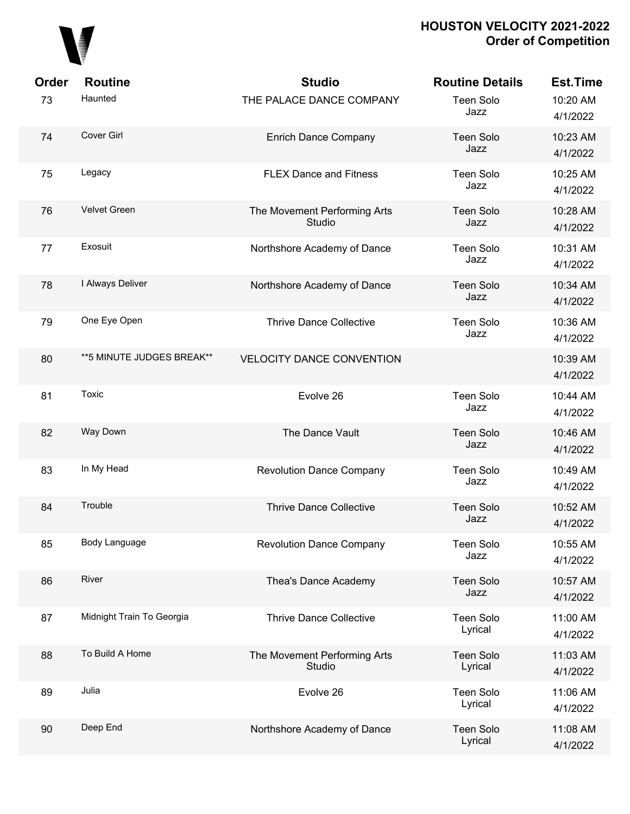## 

| Order | <b>Routine</b>             | <b>Studio</b>                          | <b>Routine Details</b>      | <b>Est.Time</b>      |
|-------|----------------------------|----------------------------------------|-----------------------------|----------------------|
| 73    | Haunted                    | THE PALACE DANCE COMPANY               | Teen Solo<br>Jazz           | 10:20 AM<br>4/1/2022 |
| 74    | Cover Girl                 | <b>Enrich Dance Company</b>            | <b>Teen Solo</b><br>Jazz    | 10:23 AM<br>4/1/2022 |
| 75    | Legacy                     | <b>FLEX Dance and Fitness</b>          | <b>Teen Solo</b><br>Jazz    | 10:25 AM<br>4/1/2022 |
| 76    | Velvet Green               | The Movement Performing Arts<br>Studio | <b>Teen Solo</b><br>Jazz    | 10:28 AM<br>4/1/2022 |
| 77    | Exosuit                    | Northshore Academy of Dance            | Teen Solo<br>Jazz           | 10:31 AM<br>4/1/2022 |
| 78    | I Always Deliver           | Northshore Academy of Dance            | <b>Teen Solo</b><br>Jazz    | 10:34 AM<br>4/1/2022 |
| 79    | One Eye Open               | <b>Thrive Dance Collective</b>         | Teen Solo<br>Jazz           | 10:36 AM<br>4/1/2022 |
| 80    | ** 5 MINUTE JUDGES BREAK** | <b>VELOCITY DANCE CONVENTION</b>       |                             | 10:39 AM<br>4/1/2022 |
| 81    | Toxic                      | Evolve 26                              | <b>Teen Solo</b><br>Jazz    | 10:44 AM<br>4/1/2022 |
| 82    | Way Down                   | The Dance Vault                        | <b>Teen Solo</b><br>Jazz    | 10:46 AM<br>4/1/2022 |
| 83    | In My Head                 | <b>Revolution Dance Company</b>        | Teen Solo<br>Jazz           | 10:49 AM<br>4/1/2022 |
| 84    | Trouble                    | <b>Thrive Dance Collective</b>         | <b>Teen Solo</b><br>Jazz    | 10:52 AM<br>4/1/2022 |
| 85    | Body Language              | <b>Revolution Dance Company</b>        | Teen Solo<br>Jazz           | 10:55 AM<br>4/1/2022 |
| 86    | River                      | Thea's Dance Academy                   | <b>Teen Solo</b><br>Jazz    | 10:57 AM<br>4/1/2022 |
| 87    | Midnight Train To Georgia  | <b>Thrive Dance Collective</b>         | Teen Solo<br>Lyrical        | 11:00 AM<br>4/1/2022 |
| 88    | To Build A Home            | The Movement Performing Arts<br>Studio | <b>Teen Solo</b><br>Lyrical | 11:03 AM<br>4/1/2022 |
| 89    | Julia                      | Evolve 26                              | Teen Solo<br>Lyrical        | 11:06 AM<br>4/1/2022 |
| 90    | Deep End                   | Northshore Academy of Dance            | <b>Teen Solo</b><br>Lyrical | 11:08 AM<br>4/1/2022 |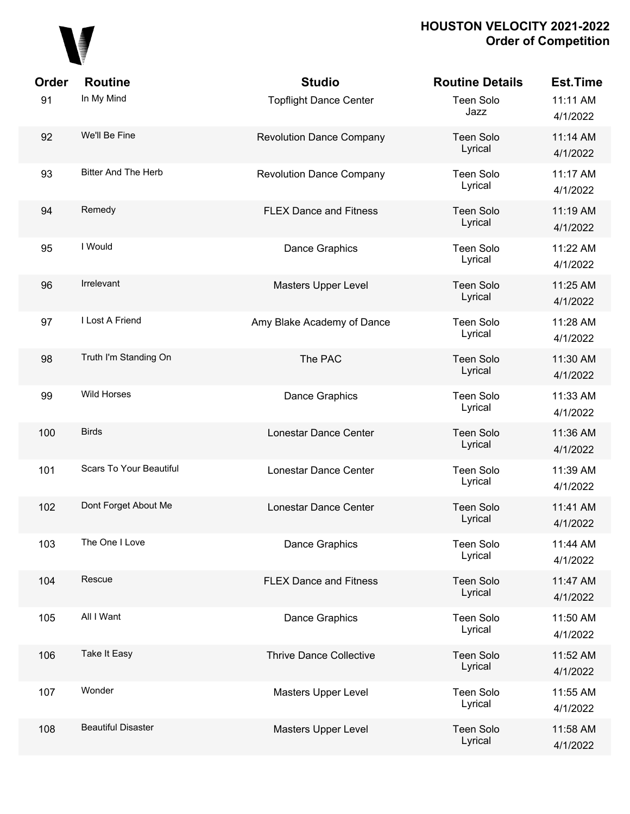

| Order | <b>Routine</b>                 | <b>Studio</b>                   | <b>Routine Details</b>      | <b>Est.Time</b>      |
|-------|--------------------------------|---------------------------------|-----------------------------|----------------------|
| 91    | In My Mind                     | <b>Topflight Dance Center</b>   | Teen Solo<br>Jazz           | 11:11 AM<br>4/1/2022 |
| 92    | We'll Be Fine                  | <b>Revolution Dance Company</b> | <b>Teen Solo</b><br>Lyrical | 11:14 AM<br>4/1/2022 |
| 93    | <b>Bitter And The Herb</b>     | <b>Revolution Dance Company</b> | <b>Teen Solo</b><br>Lyrical | 11:17 AM<br>4/1/2022 |
| 94    | Remedy                         | <b>FLEX Dance and Fitness</b>   | Teen Solo<br>Lyrical        | 11:19 AM<br>4/1/2022 |
| 95    | I Would                        | Dance Graphics                  | Teen Solo<br>Lyrical        | 11:22 AM<br>4/1/2022 |
| 96    | <b>Irrelevant</b>              | Masters Upper Level             | Teen Solo<br>Lyrical        | 11:25 AM<br>4/1/2022 |
| 97    | I Lost A Friend                | Amy Blake Academy of Dance      | Teen Solo<br>Lyrical        | 11:28 AM<br>4/1/2022 |
| 98    | Truth I'm Standing On          | The PAC                         | <b>Teen Solo</b><br>Lyrical | 11:30 AM<br>4/1/2022 |
| 99    | <b>Wild Horses</b>             | Dance Graphics                  | Teen Solo<br>Lyrical        | 11:33 AM<br>4/1/2022 |
| 100   | <b>Birds</b>                   | Lonestar Dance Center           | <b>Teen Solo</b><br>Lyrical | 11:36 AM<br>4/1/2022 |
| 101   | <b>Scars To Your Beautiful</b> | Lonestar Dance Center           | Teen Solo<br>Lyrical        | 11:39 AM<br>4/1/2022 |
| 102   | Dont Forget About Me           | Lonestar Dance Center           | <b>Teen Solo</b><br>Lyrical | 11:41 AM<br>4/1/2022 |
| 103   | The One I Love                 | Dance Graphics                  | Teen Solo<br>Lyrical        | 11:44 AM<br>4/1/2022 |
| 104   | Rescue                         | <b>FLEX Dance and Fitness</b>   | <b>Teen Solo</b><br>Lyrical | 11:47 AM<br>4/1/2022 |
| 105   | All I Want                     | Dance Graphics                  | Teen Solo<br>Lyrical        | 11:50 AM<br>4/1/2022 |
| 106   | Take It Easy                   | <b>Thrive Dance Collective</b>  | <b>Teen Solo</b><br>Lyrical | 11:52 AM<br>4/1/2022 |
| 107   | Wonder                         | Masters Upper Level             | Teen Solo<br>Lyrical        | 11:55 AM<br>4/1/2022 |
| 108   | <b>Beautiful Disaster</b>      | Masters Upper Level             | <b>Teen Solo</b><br>Lyrical | 11:58 AM<br>4/1/2022 |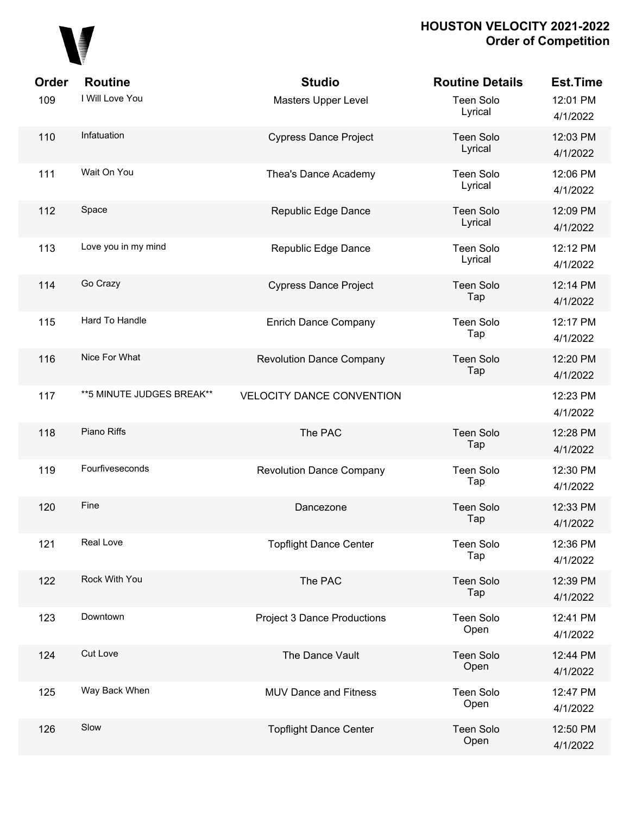

| Order | <b>Routine</b>             | <b>Studio</b>                      | <b>Routine Details</b>      | <b>Est.Time</b>      |
|-------|----------------------------|------------------------------------|-----------------------------|----------------------|
| 109   | I Will Love You            | Masters Upper Level                | <b>Teen Solo</b><br>Lyrical | 12:01 PM<br>4/1/2022 |
| 110   | Infatuation                | <b>Cypress Dance Project</b>       | <b>Teen Solo</b><br>Lyrical | 12:03 PM<br>4/1/2022 |
| 111   | Wait On You                | Thea's Dance Academy               | <b>Teen Solo</b><br>Lyrical | 12:06 PM<br>4/1/2022 |
| 112   | Space                      | Republic Edge Dance                | <b>Teen Solo</b><br>Lyrical | 12:09 PM<br>4/1/2022 |
| 113   | Love you in my mind        | Republic Edge Dance                | <b>Teen Solo</b><br>Lyrical | 12:12 PM<br>4/1/2022 |
| 114   | Go Crazy                   | <b>Cypress Dance Project</b>       | <b>Teen Solo</b><br>Tap     | 12:14 PM<br>4/1/2022 |
| 115   | Hard To Handle             | <b>Enrich Dance Company</b>        | <b>Teen Solo</b><br>Tap     | 12:17 PM<br>4/1/2022 |
| 116   | Nice For What              | <b>Revolution Dance Company</b>    | <b>Teen Solo</b><br>Tap     | 12:20 PM<br>4/1/2022 |
| 117   | ** 5 MINUTE JUDGES BREAK** | <b>VELOCITY DANCE CONVENTION</b>   |                             | 12:23 PM<br>4/1/2022 |
| 118   | Piano Riffs                | The PAC                            | <b>Teen Solo</b><br>Tap     | 12:28 PM<br>4/1/2022 |
| 119   | Fourfiveseconds            | <b>Revolution Dance Company</b>    | <b>Teen Solo</b><br>Tap     | 12:30 PM<br>4/1/2022 |
| 120   | Fine                       | Dancezone                          | <b>Teen Solo</b><br>Tap     | 12:33 PM<br>4/1/2022 |
| 121   | Real Love                  | <b>Topflight Dance Center</b>      | Teen Solo<br>Tap            | 12:36 PM<br>4/1/2022 |
| 122   | Rock With You              | The PAC                            | <b>Teen Solo</b><br>Tap     | 12:39 PM<br>4/1/2022 |
| 123   | Downtown                   | <b>Project 3 Dance Productions</b> | Teen Solo<br>Open           | 12:41 PM<br>4/1/2022 |
| 124   | <b>Cut Love</b>            | The Dance Vault                    | <b>Teen Solo</b><br>Open    | 12:44 PM<br>4/1/2022 |
| 125   | Way Back When              | MUV Dance and Fitness              | Teen Solo<br>Open           | 12:47 PM<br>4/1/2022 |
| 126   | Slow                       | <b>Topflight Dance Center</b>      | <b>Teen Solo</b><br>Open    | 12:50 PM<br>4/1/2022 |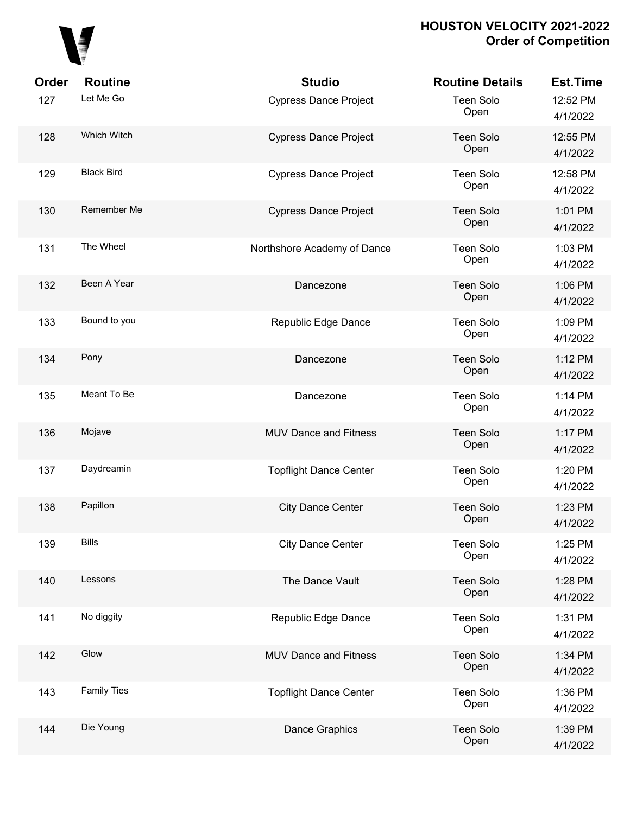

| Order | <b>Routine</b>     | <b>Studio</b>                 | <b>Routine Details</b>   | <b>Est.Time</b>      |
|-------|--------------------|-------------------------------|--------------------------|----------------------|
| 127   | Let Me Go          | <b>Cypress Dance Project</b>  | <b>Teen Solo</b><br>Open | 12:52 PM<br>4/1/2022 |
| 128   | Which Witch        | <b>Cypress Dance Project</b>  | Teen Solo<br>Open        | 12:55 PM<br>4/1/2022 |
| 129   | <b>Black Bird</b>  | <b>Cypress Dance Project</b>  | <b>Teen Solo</b><br>Open | 12:58 PM<br>4/1/2022 |
| 130   | Remember Me        | <b>Cypress Dance Project</b>  | <b>Teen Solo</b><br>Open | 1:01 PM<br>4/1/2022  |
| 131   | The Wheel          | Northshore Academy of Dance   | <b>Teen Solo</b><br>Open | 1:03 PM<br>4/1/2022  |
| 132   | Been A Year        | Dancezone                     | <b>Teen Solo</b><br>Open | 1:06 PM<br>4/1/2022  |
| 133   | Bound to you       | Republic Edge Dance           | <b>Teen Solo</b><br>Open | 1:09 PM<br>4/1/2022  |
| 134   | Pony               | Dancezone                     | <b>Teen Solo</b><br>Open | 1:12 PM<br>4/1/2022  |
| 135   | Meant To Be        | Dancezone                     | <b>Teen Solo</b><br>Open | 1:14 PM<br>4/1/2022  |
| 136   | Mojave             | <b>MUV Dance and Fitness</b>  | <b>Teen Solo</b><br>Open | 1:17 PM<br>4/1/2022  |
| 137   | Daydreamin         | <b>Topflight Dance Center</b> | <b>Teen Solo</b><br>Open | 1:20 PM<br>4/1/2022  |
| 138   | Papillon           | <b>City Dance Center</b>      | <b>Teen Solo</b><br>Open | 1:23 PM<br>4/1/2022  |
| 139   | <b>Bills</b>       | <b>City Dance Center</b>      | <b>Teen Solo</b><br>Open | 1:25 PM<br>4/1/2022  |
| 140   | Lessons            | The Dance Vault               | <b>Teen Solo</b><br>Open | 1:28 PM<br>4/1/2022  |
| 141   | No diggity         | Republic Edge Dance           | <b>Teen Solo</b><br>Open | 1:31 PM<br>4/1/2022  |
| 142   | Glow               | <b>MUV Dance and Fitness</b>  | <b>Teen Solo</b><br>Open | 1:34 PM<br>4/1/2022  |
| 143   | <b>Family Ties</b> | <b>Topflight Dance Center</b> | <b>Teen Solo</b><br>Open | 1:36 PM<br>4/1/2022  |
| 144   | Die Young          | Dance Graphics                | <b>Teen Solo</b><br>Open | 1:39 PM<br>4/1/2022  |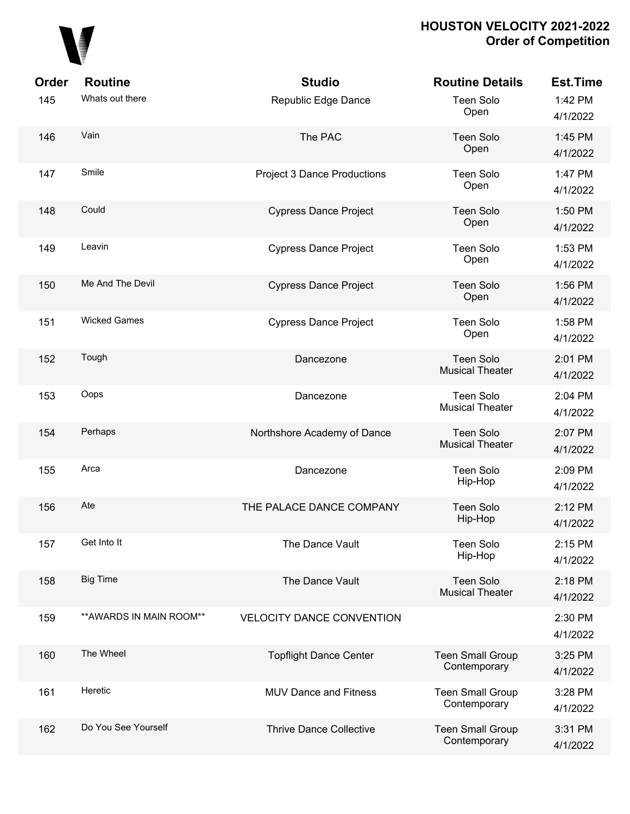

| Order | <b>Routine</b>           | <b>Studio</b>                      | <b>Routine Details</b>                     | <b>Est.Time</b>     |
|-------|--------------------------|------------------------------------|--------------------------------------------|---------------------|
| 145   | Whats out there          | Republic Edge Dance                | <b>Teen Solo</b><br>Open                   | 1:42 PM<br>4/1/2022 |
| 146   | Vain                     | The PAC                            | <b>Teen Solo</b><br>Open                   | 1:45 PM<br>4/1/2022 |
| 147   | Smile                    | <b>Project 3 Dance Productions</b> | <b>Teen Solo</b><br>Open                   | 1:47 PM<br>4/1/2022 |
| 148   | Could                    | <b>Cypress Dance Project</b>       | <b>Teen Solo</b><br>Open                   | 1:50 PM<br>4/1/2022 |
| 149   | Leavin                   | <b>Cypress Dance Project</b>       | <b>Teen Solo</b><br>Open                   | 1:53 PM<br>4/1/2022 |
| 150   | Me And The Devil         | <b>Cypress Dance Project</b>       | <b>Teen Solo</b><br>Open                   | 1:56 PM<br>4/1/2022 |
| 151   | <b>Wicked Games</b>      | <b>Cypress Dance Project</b>       | <b>Teen Solo</b><br>Open                   | 1:58 PM<br>4/1/2022 |
| 152   | Tough                    | Dancezone                          | <b>Teen Solo</b><br><b>Musical Theater</b> | 2:01 PM<br>4/1/2022 |
| 153   | Oops                     | Dancezone                          | <b>Teen Solo</b><br><b>Musical Theater</b> | 2:04 PM<br>4/1/2022 |
| 154   | Perhaps                  | Northshore Academy of Dance        | <b>Teen Solo</b><br><b>Musical Theater</b> | 2:07 PM<br>4/1/2022 |
| 155   | Arca                     | Dancezone                          | <b>Teen Solo</b><br>Hip-Hop                | 2:09 PM<br>4/1/2022 |
| 156   | Ate                      | THE PALACE DANCE COMPANY           | <b>Teen Solo</b><br>Hip-Hop                | 2:12 PM<br>4/1/2022 |
| 157   | Get Into It              | The Dance Vault                    | <b>Teen Solo</b><br>Hip-Hop                | 2:15 PM<br>4/1/2022 |
| 158   | <b>Big Time</b>          | The Dance Vault                    | <b>Teen Solo</b><br><b>Musical Theater</b> | 2:18 PM<br>4/1/2022 |
| 159   | ** AWARDS IN MAIN ROOM** | <b>VELOCITY DANCE CONVENTION</b>   |                                            | 2:30 PM<br>4/1/2022 |
| 160   | The Wheel                | <b>Topflight Dance Center</b>      | <b>Teen Small Group</b><br>Contemporary    | 3:25 PM<br>4/1/2022 |
| 161   | Heretic                  | <b>MUV Dance and Fitness</b>       | <b>Teen Small Group</b><br>Contemporary    | 3:28 PM<br>4/1/2022 |
| 162   | Do You See Yourself      | <b>Thrive Dance Collective</b>     | <b>Teen Small Group</b><br>Contemporary    | 3:31 PM<br>4/1/2022 |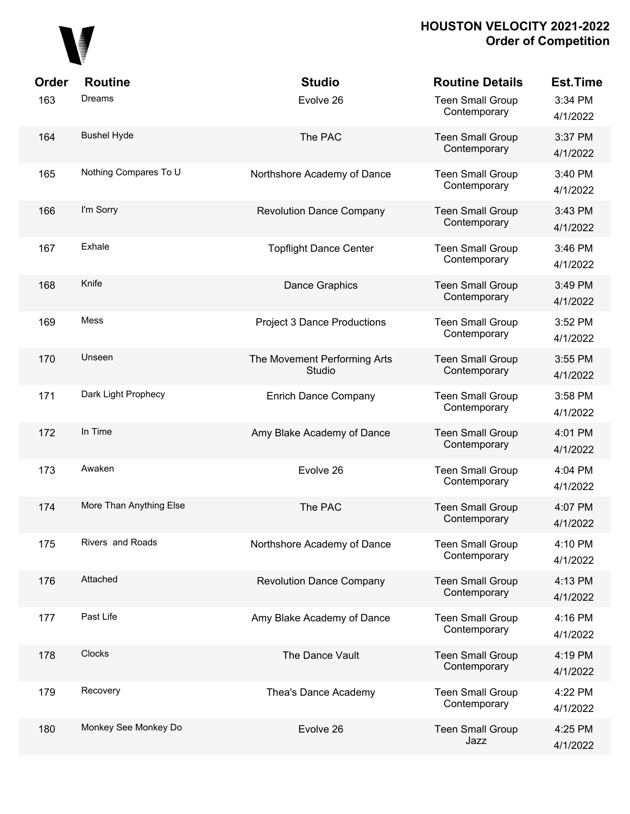## 

| Order | <b>Routine</b>          | <b>Studio</b>                          | <b>Routine Details</b>                  | <b>Est.Time</b>     |
|-------|-------------------------|----------------------------------------|-----------------------------------------|---------------------|
| 163   | Dreams                  | Evolve 26                              | <b>Teen Small Group</b><br>Contemporary | 3:34 PM<br>4/1/2022 |
| 164   | <b>Bushel Hyde</b>      | The PAC                                | <b>Teen Small Group</b><br>Contemporary | 3:37 PM<br>4/1/2022 |
| 165   | Nothing Compares To U   | Northshore Academy of Dance            | <b>Teen Small Group</b><br>Contemporary | 3:40 PM<br>4/1/2022 |
| 166   | I'm Sorry               | <b>Revolution Dance Company</b>        | <b>Teen Small Group</b><br>Contemporary | 3:43 PM<br>4/1/2022 |
| 167   | Exhale                  | <b>Topflight Dance Center</b>          | <b>Teen Small Group</b><br>Contemporary | 3:46 PM<br>4/1/2022 |
| 168   | Knife                   | <b>Dance Graphics</b>                  | <b>Teen Small Group</b><br>Contemporary | 3:49 PM<br>4/1/2022 |
| 169   | Mess                    | <b>Project 3 Dance Productions</b>     | <b>Teen Small Group</b><br>Contemporary | 3:52 PM<br>4/1/2022 |
| 170   | Unseen                  | The Movement Performing Arts<br>Studio | <b>Teen Small Group</b><br>Contemporary | 3:55 PM<br>4/1/2022 |
| 171   | Dark Light Prophecy     | <b>Enrich Dance Company</b>            | <b>Teen Small Group</b><br>Contemporary | 3:58 PM<br>4/1/2022 |
| 172   | In Time                 | Amy Blake Academy of Dance             | <b>Teen Small Group</b><br>Contemporary | 4:01 PM<br>4/1/2022 |
| 173   | Awaken                  | Evolve 26                              | <b>Teen Small Group</b><br>Contemporary | 4:04 PM<br>4/1/2022 |
| 174   | More Than Anything Else | The PAC                                | <b>Teen Small Group</b><br>Contemporary | 4:07 PM<br>4/1/2022 |
| 175   | Rivers and Roads        | Northshore Academy of Dance            | <b>Teen Small Group</b><br>Contemporary | 4:10 PM<br>4/1/2022 |
| 176   | Attached                | <b>Revolution Dance Company</b>        | <b>Teen Small Group</b><br>Contemporary | 4:13 PM<br>4/1/2022 |
| 177   | Past Life               | Amy Blake Academy of Dance             | <b>Teen Small Group</b><br>Contemporary | 4:16 PM<br>4/1/2022 |
| 178   | Clocks                  | The Dance Vault                        | <b>Teen Small Group</b><br>Contemporary | 4:19 PM<br>4/1/2022 |
| 179   | Recovery                | Thea's Dance Academy                   | <b>Teen Small Group</b><br>Contemporary | 4:22 PM<br>4/1/2022 |
| 180   | Monkey See Monkey Do    | Evolve 26                              | <b>Teen Small Group</b><br>Jazz         | 4:25 PM<br>4/1/2022 |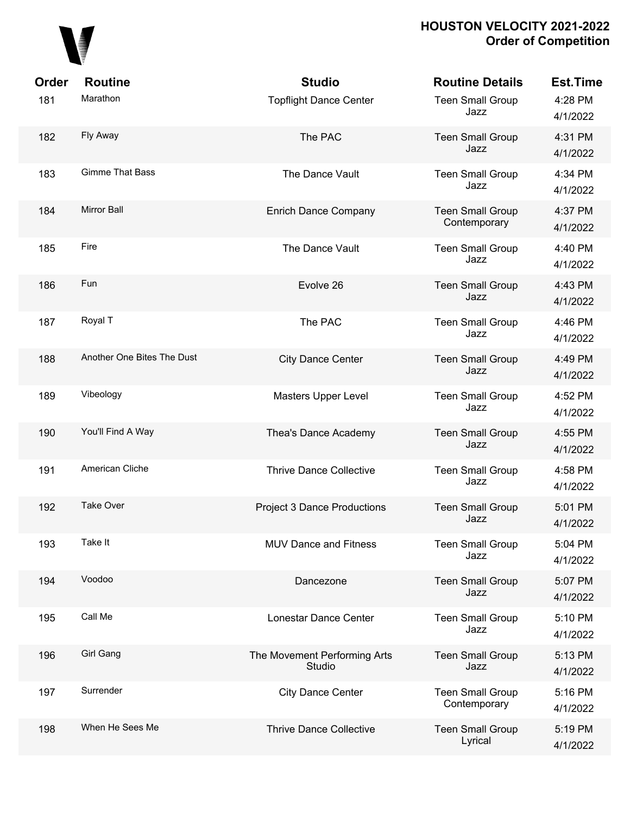

| <b>Order</b> | <b>Routine</b>             | <b>Studio</b>                          | <b>Routine Details</b>                  | <b>Est.Time</b>     |
|--------------|----------------------------|----------------------------------------|-----------------------------------------|---------------------|
| 181          | Marathon                   | <b>Topflight Dance Center</b>          | <b>Teen Small Group</b><br>Jazz         | 4:28 PM<br>4/1/2022 |
| 182          | Fly Away                   | The PAC                                | <b>Teen Small Group</b><br>Jazz         | 4:31 PM<br>4/1/2022 |
| 183          | <b>Gimme That Bass</b>     | The Dance Vault                        | <b>Teen Small Group</b><br>Jazz         | 4:34 PM<br>4/1/2022 |
| 184          | <b>Mirror Ball</b>         | <b>Enrich Dance Company</b>            | <b>Teen Small Group</b><br>Contemporary | 4:37 PM<br>4/1/2022 |
| 185          | Fire                       | The Dance Vault                        | <b>Teen Small Group</b><br>Jazz         | 4:40 PM<br>4/1/2022 |
| 186          | Fun                        | Evolve 26                              | <b>Teen Small Group</b><br>Jazz         | 4:43 PM<br>4/1/2022 |
| 187          | Royal T                    | The PAC                                | <b>Teen Small Group</b><br>Jazz         | 4:46 PM<br>4/1/2022 |
| 188          | Another One Bites The Dust | <b>City Dance Center</b>               | <b>Teen Small Group</b><br>Jazz         | 4:49 PM<br>4/1/2022 |
| 189          | Vibeology                  | Masters Upper Level                    | <b>Teen Small Group</b><br>Jazz         | 4:52 PM<br>4/1/2022 |
| 190          | You'll Find A Way          | Thea's Dance Academy                   | <b>Teen Small Group</b><br>Jazz         | 4:55 PM<br>4/1/2022 |
| 191          | American Cliche            | <b>Thrive Dance Collective</b>         | <b>Teen Small Group</b><br>Jazz         | 4:58 PM<br>4/1/2022 |
| 192          | <b>Take Over</b>           | <b>Project 3 Dance Productions</b>     | <b>Teen Small Group</b><br>Jazz         | 5:01 PM<br>4/1/2022 |
| 193          | Take It                    | <b>MUV Dance and Fitness</b>           | <b>Teen Small Group</b><br>Jazz         | 5:04 PM<br>4/1/2022 |
| 194          | Voodoo                     | Dancezone                              | <b>Teen Small Group</b><br>Jazz         | 5:07 PM<br>4/1/2022 |
| 195          | Call Me                    | Lonestar Dance Center                  | <b>Teen Small Group</b><br>Jazz         | 5:10 PM<br>4/1/2022 |
| 196          | Girl Gang                  | The Movement Performing Arts<br>Studio | <b>Teen Small Group</b><br>Jazz         | 5:13 PM<br>4/1/2022 |
| 197          | Surrender                  | <b>City Dance Center</b>               | <b>Teen Small Group</b><br>Contemporary | 5:16 PM<br>4/1/2022 |
| 198          | When He Sees Me            | <b>Thrive Dance Collective</b>         | <b>Teen Small Group</b><br>Lyrical      | 5:19 PM<br>4/1/2022 |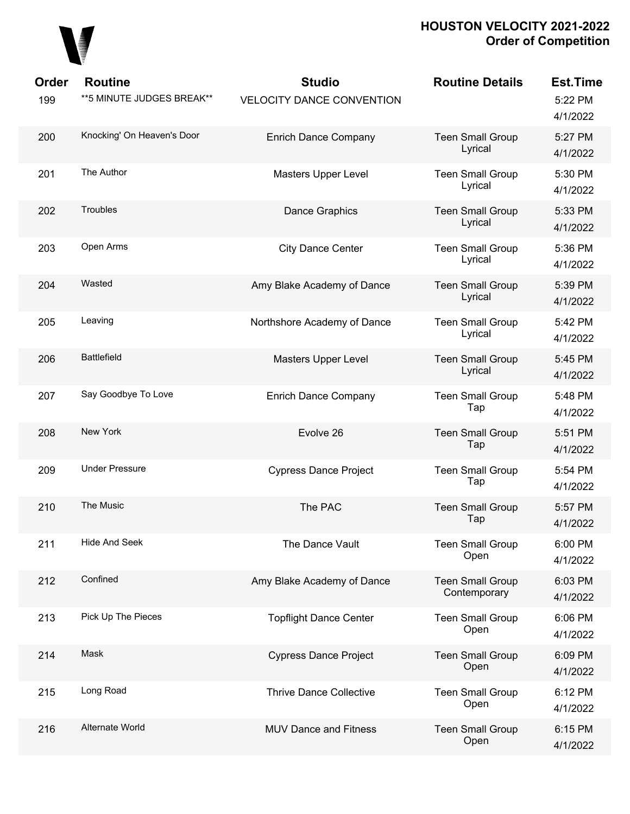

| Order<br>199 | <b>Routine</b><br>**5 MINUTE JUDGES BREAK** | <b>Studio</b><br><b>VELOCITY DANCE CONVENTION</b> | <b>Routine Details</b>                  | <b>Est.Time</b><br>5:22 PM<br>4/1/2022 |
|--------------|---------------------------------------------|---------------------------------------------------|-----------------------------------------|----------------------------------------|
| 200          | Knocking' On Heaven's Door                  | <b>Enrich Dance Company</b>                       | <b>Teen Small Group</b><br>Lyrical      | 5:27 PM<br>4/1/2022                    |
| 201          | The Author                                  | Masters Upper Level                               | <b>Teen Small Group</b><br>Lyrical      | 5:30 PM<br>4/1/2022                    |
| 202          | Troubles                                    | Dance Graphics                                    | <b>Teen Small Group</b><br>Lyrical      | 5:33 PM<br>4/1/2022                    |
| 203          | Open Arms                                   | <b>City Dance Center</b>                          | <b>Teen Small Group</b><br>Lyrical      | 5:36 PM<br>4/1/2022                    |
| 204          | Wasted                                      | Amy Blake Academy of Dance                        | <b>Teen Small Group</b><br>Lyrical      | 5:39 PM<br>4/1/2022                    |
| 205          | Leaving                                     | Northshore Academy of Dance                       | <b>Teen Small Group</b><br>Lyrical      | 5:42 PM<br>4/1/2022                    |
| 206          | <b>Battlefield</b>                          | Masters Upper Level                               | <b>Teen Small Group</b><br>Lyrical      | 5:45 PM<br>4/1/2022                    |
| 207          | Say Goodbye To Love                         | <b>Enrich Dance Company</b>                       | <b>Teen Small Group</b><br>Tap          | 5:48 PM<br>4/1/2022                    |
| 208          | New York                                    | Evolve 26                                         | <b>Teen Small Group</b><br>Tap          | 5:51 PM<br>4/1/2022                    |
| 209          | <b>Under Pressure</b>                       | <b>Cypress Dance Project</b>                      | <b>Teen Small Group</b><br>Tap          | 5:54 PM<br>4/1/2022                    |
| 210          | The Music                                   | The PAC                                           | <b>Teen Small Group</b><br>Tap          | 5:57 PM<br>4/1/2022                    |
| 211          | <b>Hide And Seek</b>                        | The Dance Vault                                   | <b>Teen Small Group</b><br>Open         | 6:00 PM<br>4/1/2022                    |
| 212          | Confined                                    | Amy Blake Academy of Dance                        | <b>Teen Small Group</b><br>Contemporary | 6:03 PM<br>4/1/2022                    |
| 213          | Pick Up The Pieces                          | <b>Topflight Dance Center</b>                     | <b>Teen Small Group</b><br>Open         | 6:06 PM<br>4/1/2022                    |
| 214          | Mask                                        | <b>Cypress Dance Project</b>                      | <b>Teen Small Group</b><br>Open         | 6:09 PM<br>4/1/2022                    |
| 215          | Long Road                                   | <b>Thrive Dance Collective</b>                    | <b>Teen Small Group</b><br>Open         | 6:12 PM<br>4/1/2022                    |
| 216          | Alternate World                             | <b>MUV Dance and Fitness</b>                      | <b>Teen Small Group</b><br>Open         | 6:15 PM<br>4/1/2022                    |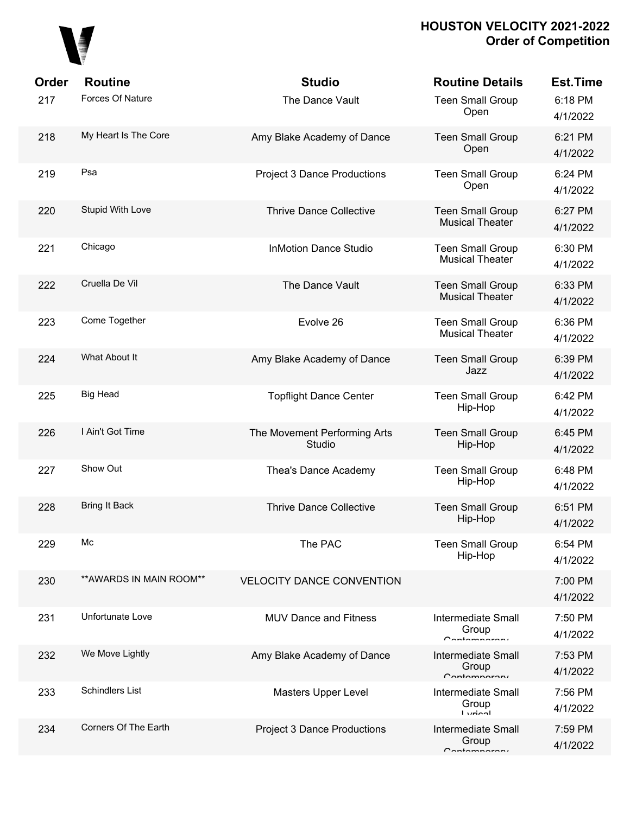

| Order | <b>Routine</b>           | <b>Studio</b>                          | <b>Routine Details</b>                                | <b>Est.Time</b>     |
|-------|--------------------------|----------------------------------------|-------------------------------------------------------|---------------------|
| 217   | Forces Of Nature         | The Dance Vault                        | <b>Teen Small Group</b><br>Open                       | 6:18 PM<br>4/1/2022 |
| 218   | My Heart Is The Core     | Amy Blake Academy of Dance             | <b>Teen Small Group</b><br>Open                       | 6:21 PM<br>4/1/2022 |
| 219   | Psa                      | <b>Project 3 Dance Productions</b>     | <b>Teen Small Group</b><br>Open                       | 6:24 PM<br>4/1/2022 |
| 220   | Stupid With Love         | <b>Thrive Dance Collective</b>         | <b>Teen Small Group</b><br><b>Musical Theater</b>     | 6:27 PM<br>4/1/2022 |
| 221   | Chicago                  | <b>InMotion Dance Studio</b>           | <b>Teen Small Group</b><br><b>Musical Theater</b>     | 6:30 PM<br>4/1/2022 |
| 222   | Cruella De Vil           | The Dance Vault                        | <b>Teen Small Group</b><br><b>Musical Theater</b>     | 6:33 PM<br>4/1/2022 |
| 223   | Come Together            | Evolve 26                              | <b>Teen Small Group</b><br><b>Musical Theater</b>     | 6:36 PM<br>4/1/2022 |
| 224   | What About It            | Amy Blake Academy of Dance             | <b>Teen Small Group</b><br>Jazz                       | 6:39 PM<br>4/1/2022 |
| 225   | Big Head                 | <b>Topflight Dance Center</b>          | <b>Teen Small Group</b><br>Hip-Hop                    | 6:42 PM<br>4/1/2022 |
| 226   | I Ain't Got Time         | The Movement Performing Arts<br>Studio | <b>Teen Small Group</b><br>Hip-Hop                    | 6:45 PM<br>4/1/2022 |
| 227   | Show Out                 | Thea's Dance Academy                   | <b>Teen Small Group</b><br>Hip-Hop                    | 6:48 PM<br>4/1/2022 |
| 228   | Bring It Back            | <b>Thrive Dance Collective</b>         | <b>Teen Small Group</b><br>Hip-Hop                    | 6:51 PM<br>4/1/2022 |
| 229   | Мc                       | The PAC                                | <b>Teen Small Group</b><br>Hip-Hop                    | 6:54 PM<br>4/1/2022 |
| 230   | ** AWARDS IN MAIN ROOM** | <b>VELOCITY DANCE CONVENTION</b>       |                                                       | 7:00 PM<br>4/1/2022 |
| 231   | Unfortunate Love         | <b>MUV Dance and Fitness</b>           | <b>Intermediate Small</b><br>Group<br>$C$ ontomnoroni | 7:50 PM<br>4/1/2022 |
| 232   | We Move Lightly          | Amy Blake Academy of Dance             | <b>Intermediate Small</b><br>Group<br>$C$ ontomnoroni | 7:53 PM<br>4/1/2022 |
| 233   | <b>Schindlers List</b>   | Masters Upper Level                    | <b>Intermediate Small</b><br>Group<br><b>Lurinal</b>  | 7:56 PM<br>4/1/2022 |
| 234   | Corners Of The Earth     | <b>Project 3 Dance Productions</b>     | <b>Intermediate Small</b><br>Group<br>$C$ ontomnoroni | 7:59 PM<br>4/1/2022 |
|       |                          |                                        |                                                       |                     |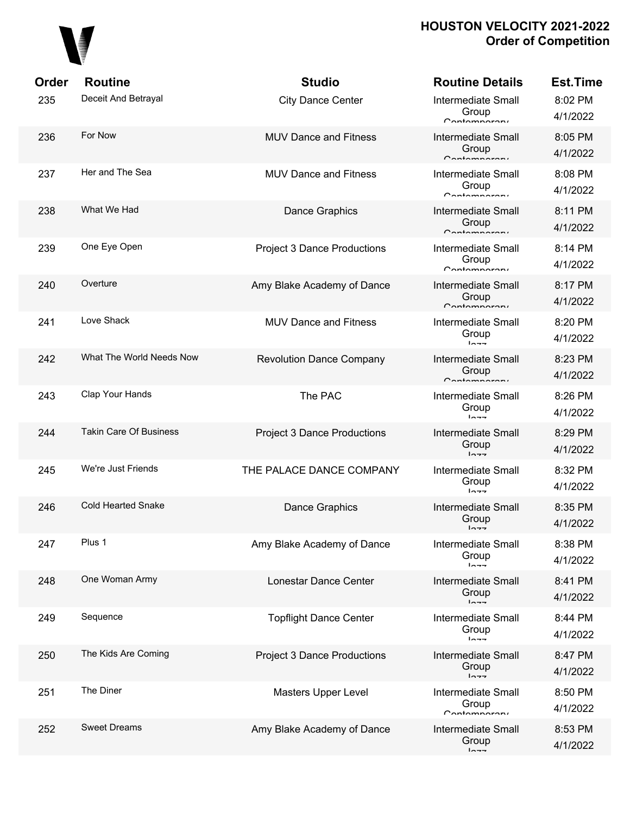

| Order | <b>Routine</b>                | <b>Studio</b>                      | <b>Routine Details</b>                                | <b>Est.Time</b>     |
|-------|-------------------------------|------------------------------------|-------------------------------------------------------|---------------------|
| 235   | Deceit And Betrayal           | <b>City Dance Center</b>           | <b>Intermediate Small</b><br>Group<br>Contamparary    | 8:02 PM<br>4/1/2022 |
| 236   | For Now                       | <b>MUV Dance and Fitness</b>       | <b>Intermediate Small</b><br>Group<br>Contamparary    | 8:05 PM<br>4/1/2022 |
| 237   | Her and The Sea               | <b>MUV Dance and Fitness</b>       | <b>Intermediate Small</b><br>Group<br>Contamparari    | 8:08 PM<br>4/1/2022 |
| 238   | What We Had                   | Dance Graphics                     | <b>Intermediate Small</b><br>Group<br>Contamparary    | 8:11 PM<br>4/1/2022 |
| 239   | One Eye Open                  | <b>Project 3 Dance Productions</b> | <b>Intermediate Small</b><br>Group<br>Contamparari    | 8:14 PM<br>4/1/2022 |
| 240   | Overture                      | Amy Blake Academy of Dance         | <b>Intermediate Small</b><br>Group<br>$C$ ontomporoni | 8:17 PM<br>4/1/2022 |
| 241   | Love Shack                    | <b>MUV Dance and Fitness</b>       | <b>Intermediate Small</b><br>Group<br>$ln - -$        | 8:20 PM<br>4/1/2022 |
| 242   | What The World Needs Now      | <b>Revolution Dance Company</b>    | <b>Intermediate Small</b><br>Group<br>Contamparary    | 8:23 PM<br>4/1/2022 |
| 243   | Clap Your Hands               | The PAC                            | <b>Intermediate Small</b><br>Group<br>$ln - -$        | 8:26 PM<br>4/1/2022 |
| 244   | <b>Takin Care Of Business</b> | <b>Project 3 Dance Productions</b> | <b>Intermediate Small</b><br>Group<br>$ln - -$        | 8:29 PM<br>4/1/2022 |
| 245   | We're Just Friends            | THE PALACE DANCE COMPANY           | <b>Intermediate Small</b><br>Group<br>$ln - -$        | 8:32 PM<br>4/1/2022 |
| 246   | <b>Cold Hearted Snake</b>     | Dance Graphics                     | <b>Intermediate Small</b><br>Group<br>$ln - -$        | 8:35 PM<br>4/1/2022 |
| 247   | Plus 1                        | Amy Blake Academy of Dance         | <b>Intermediate Small</b><br>Group<br>$ln -$          | 8:38 PM<br>4/1/2022 |
| 248   | One Woman Army                | Lonestar Dance Center              | <b>Intermediate Small</b><br>Group<br>$1 - -$         | 8:41 PM<br>4/1/2022 |
| 249   | Sequence                      | <b>Topflight Dance Center</b>      | <b>Intermediate Small</b><br>Group<br>$1 - - -$       | 8:44 PM<br>4/1/2022 |
| 250   | The Kids Are Coming           | <b>Project 3 Dance Productions</b> | <b>Intermediate Small</b><br>Group<br>$ln -$          | 8:47 PM<br>4/1/2022 |
| 251   | The Diner                     | Masters Upper Level                | <b>Intermediate Small</b><br>Group<br>$C$ ontomnoroni | 8:50 PM<br>4/1/2022 |
| 252   | <b>Sweet Dreams</b>           | Amy Blake Academy of Dance         | <b>Intermediate Small</b><br>Group<br>$1 - -$         | 8:53 PM<br>4/1/2022 |
|       |                               |                                    |                                                       |                     |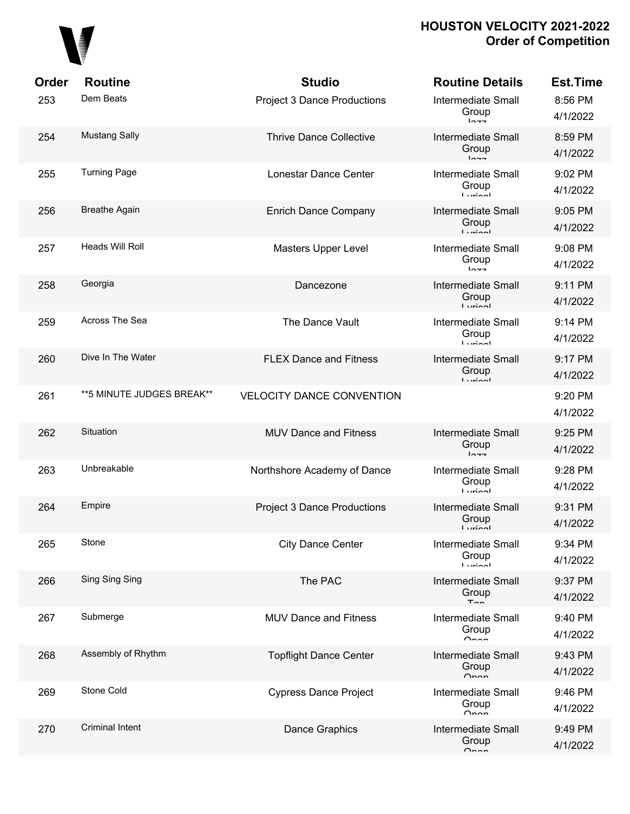## 

| Order | <b>Routine</b>             | <b>Studio</b>                      | <b>Routine Details</b>                                   | <b>Est.Time</b>     |
|-------|----------------------------|------------------------------------|----------------------------------------------------------|---------------------|
| 253   | Dem Beats                  | <b>Project 3 Dance Productions</b> | <b>Intermediate Small</b><br>Group<br>$ln - -$           | 8:56 PM<br>4/1/2022 |
| 254   | <b>Mustang Sally</b>       | <b>Thrive Dance Collective</b>     | <b>Intermediate Small</b><br>Group<br>$ln - -$           | 8:59 PM<br>4/1/2022 |
| 255   | <b>Turning Page</b>        | Lonestar Dance Center              | Intermediate Small<br>Group<br><b>Ludon</b>              | 9:02 PM<br>4/1/2022 |
| 256   | <b>Breathe Again</b>       | <b>Enrich Dance Company</b>        | Intermediate Small<br>Group<br>$I$ <i>veion</i> l        | 9:05 PM<br>4/1/2022 |
| 257   | <b>Heads Will Roll</b>     | Masters Upper Level                | <b>Intermediate Small</b><br>Group<br>$ln - -$           | 9:08 PM<br>4/1/2022 |
| 258   | Georgia                    | Dancezone                          | <b>Intermediate Small</b><br>Group<br>$I$ <i>veion</i> l | 9:11 PM<br>4/1/2022 |
| 259   | Across The Sea             | The Dance Vault                    | <b>Intermediate Small</b><br>Group<br><b>Ludon</b>       | 9:14 PM<br>4/1/2022 |
| 260   | Dive In The Water          | <b>FLEX Dance and Fitness</b>      | <b>Intermediate Small</b><br>Group<br>$I$ winnl          | 9:17 PM<br>4/1/2022 |
| 261   | ** 5 MINUTE JUDGES BREAK** | <b>VELOCITY DANCE CONVENTION</b>   |                                                          | 9:20 PM<br>4/1/2022 |
| 262   | Situation                  | <b>MUV Dance and Fitness</b>       | <b>Intermediate Small</b><br>Group<br>$ln - -$           | 9:25 PM<br>4/1/2022 |
| 263   | Unbreakable                | Northshore Academy of Dance        | <b>Intermediate Small</b><br>Group<br><b>Ludon</b>       | 9:28 PM<br>4/1/2022 |
| 264   | Empire                     | <b>Project 3 Dance Productions</b> | <b>Intermediate Small</b><br>Group<br><b>Lurinal</b>     | 9:31 PM<br>4/1/2022 |
| 265   | Stone                      | <b>City Dance Center</b>           | <b>Intermediate Small</b><br>Group<br><b>Lurinol</b>     | 9:34 PM<br>4/1/2022 |
| 266   | Sing Sing Sing             | The PAC                            | <b>Intermediate Small</b><br>Group<br>$T_{nn}$           | 9:37 PM<br>4/1/2022 |
| 267   | Submerge                   | <b>MUV Dance and Fitness</b>       | <b>Intermediate Small</b><br>Group<br>$\cap$ non         | 9:40 PM<br>4/1/2022 |
| 268   | Assembly of Rhythm         | <b>Topflight Dance Center</b>      | <b>Intermediate Small</b><br>Group<br>$\sim$             | 9:43 PM<br>4/1/2022 |
| 269   | Stone Cold                 | <b>Cypress Dance Project</b>       | <b>Intermediate Small</b><br>Group<br>Onnn               | 9:46 PM<br>4/1/2022 |
| 270   | <b>Criminal Intent</b>     | <b>Dance Graphics</b>              | <b>Intermediate Small</b><br>Group<br>$\sim$             | 9:49 PM<br>4/1/2022 |
|       |                            |                                    |                                                          |                     |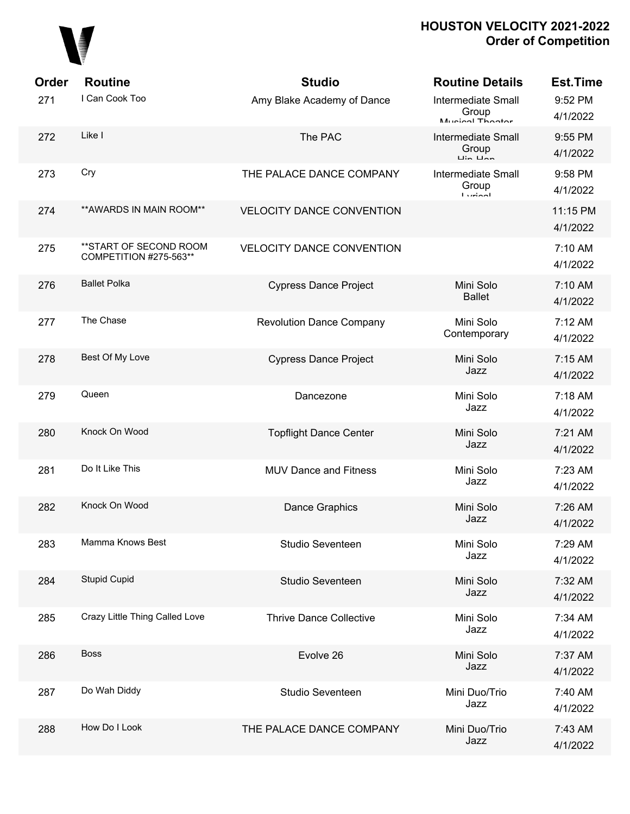

| Order | <b>Routine</b>                                   | <b>Studio</b>                    | <b>Routine Details</b>                                | <b>Est.Time</b>      |
|-------|--------------------------------------------------|----------------------------------|-------------------------------------------------------|----------------------|
| 271   | I Can Cook Too                                   | Amy Blake Academy of Dance       | <b>Intermediate Small</b><br>Group<br>Munical Thootor | 9:52 PM<br>4/1/2022  |
| 272   | Like I                                           | The PAC                          | <b>Intermediate Small</b><br>Group                    | 9:55 PM<br>4/1/2022  |
| 273   | Cry                                              | THE PALACE DANCE COMPANY         | <b>Intermediate Small</b><br>Group<br>أممنينا         | 9:58 PM<br>4/1/2022  |
| 274   | ** AWARDS IN MAIN ROOM**                         | <b>VELOCITY DANCE CONVENTION</b> |                                                       | 11:15 PM<br>4/1/2022 |
| 275   | **START OF SECOND ROOM<br>COMPETITION #275-563** | <b>VELOCITY DANCE CONVENTION</b> |                                                       | 7:10 AM<br>4/1/2022  |
| 276   | <b>Ballet Polka</b>                              | <b>Cypress Dance Project</b>     | Mini Solo<br><b>Ballet</b>                            | 7:10 AM<br>4/1/2022  |
| 277   | The Chase                                        | <b>Revolution Dance Company</b>  | Mini Solo<br>Contemporary                             | 7:12 AM<br>4/1/2022  |
| 278   | Best Of My Love                                  | <b>Cypress Dance Project</b>     | Mini Solo<br>Jazz                                     | 7:15 AM<br>4/1/2022  |
| 279   | Queen                                            | Dancezone                        | Mini Solo<br>Jazz                                     | 7:18 AM<br>4/1/2022  |
| 280   | Knock On Wood                                    | <b>Topflight Dance Center</b>    | Mini Solo<br>Jazz                                     | 7:21 AM<br>4/1/2022  |
| 281   | Do It Like This                                  | <b>MUV Dance and Fitness</b>     | Mini Solo<br>Jazz                                     | 7:23 AM<br>4/1/2022  |
| 282   | Knock On Wood                                    | Dance Graphics                   | Mini Solo<br>Jazz                                     | 7:26 AM<br>4/1/2022  |
| 283   | Mamma Knows Best                                 | Studio Seventeen                 | Mini Solo<br>Jazz                                     | 7:29 AM<br>4/1/2022  |
| 284   | <b>Stupid Cupid</b>                              | Studio Seventeen                 | Mini Solo<br>Jazz                                     | 7:32 AM<br>4/1/2022  |
| 285   | Crazy Little Thing Called Love                   | <b>Thrive Dance Collective</b>   | Mini Solo<br>Jazz                                     | 7:34 AM<br>4/1/2022  |
| 286   | <b>Boss</b>                                      | Evolve 26                        | Mini Solo<br>Jazz                                     | 7:37 AM<br>4/1/2022  |
| 287   | Do Wah Diddy                                     | Studio Seventeen                 | Mini Duo/Trio<br>Jazz                                 | 7:40 AM<br>4/1/2022  |
| 288   | How Do I Look                                    | THE PALACE DANCE COMPANY         | Mini Duo/Trio<br>Jazz                                 | 7:43 AM<br>4/1/2022  |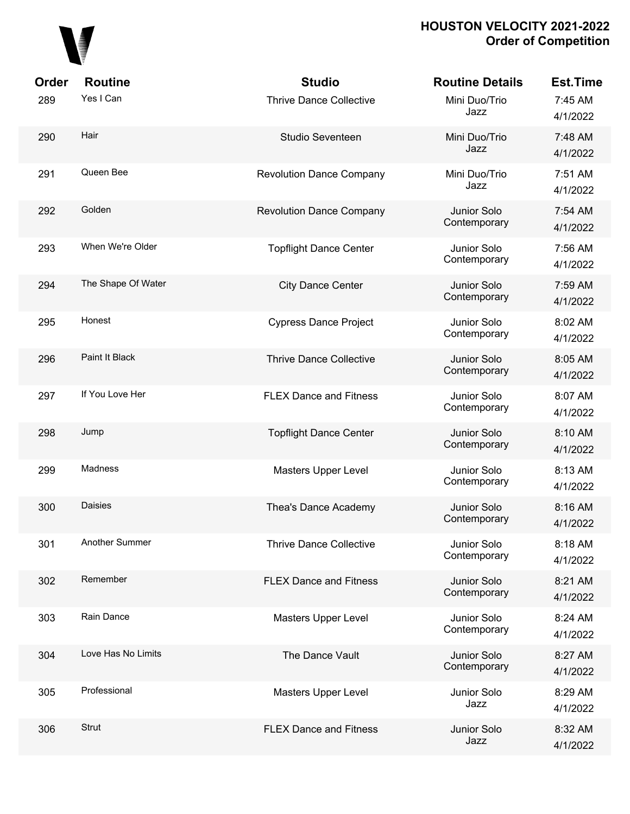

| Order | <b>Routine</b>     | <b>Studio</b>                   | <b>Routine Details</b>      | Est.Time            |
|-------|--------------------|---------------------------------|-----------------------------|---------------------|
| 289   | Yes I Can          | <b>Thrive Dance Collective</b>  | Mini Duo/Trio<br>Jazz       | 7:45 AM<br>4/1/2022 |
| 290   | Hair               | Studio Seventeen                | Mini Duo/Trio<br>Jazz       | 7:48 AM<br>4/1/2022 |
| 291   | Queen Bee          | <b>Revolution Dance Company</b> | Mini Duo/Trio<br>Jazz       | 7:51 AM<br>4/1/2022 |
| 292   | Golden             | <b>Revolution Dance Company</b> | Junior Solo<br>Contemporary | 7:54 AM<br>4/1/2022 |
| 293   | When We're Older   | <b>Topflight Dance Center</b>   | Junior Solo<br>Contemporary | 7:56 AM<br>4/1/2022 |
| 294   | The Shape Of Water | <b>City Dance Center</b>        | Junior Solo<br>Contemporary | 7:59 AM<br>4/1/2022 |
| 295   | Honest             | <b>Cypress Dance Project</b>    | Junior Solo<br>Contemporary | 8:02 AM<br>4/1/2022 |
| 296   | Paint It Black     | <b>Thrive Dance Collective</b>  | Junior Solo<br>Contemporary | 8:05 AM<br>4/1/2022 |
| 297   | If You Love Her    | <b>FLEX Dance and Fitness</b>   | Junior Solo<br>Contemporary | 8:07 AM<br>4/1/2022 |
| 298   | Jump               | <b>Topflight Dance Center</b>   | Junior Solo<br>Contemporary | 8:10 AM<br>4/1/2022 |
| 299   | Madness            | <b>Masters Upper Level</b>      | Junior Solo<br>Contemporary | 8:13 AM<br>4/1/2022 |
| 300   | Daisies            | Thea's Dance Academy            | Junior Solo<br>Contemporary | 8:16 AM<br>4/1/2022 |
| 301   | Another Summer     | <b>Thrive Dance Collective</b>  | Junior Solo<br>Contemporary | 8:18 AM<br>4/1/2022 |
| 302   | Remember           | <b>FLEX Dance and Fitness</b>   | Junior Solo<br>Contemporary | 8:21 AM<br>4/1/2022 |
| 303   | Rain Dance         | <b>Masters Upper Level</b>      | Junior Solo<br>Contemporary | 8:24 AM<br>4/1/2022 |
| 304   | Love Has No Limits | The Dance Vault                 | Junior Solo<br>Contemporary | 8:27 AM<br>4/1/2022 |
| 305   | Professional       | <b>Masters Upper Level</b>      | Junior Solo<br>Jazz         | 8:29 AM<br>4/1/2022 |
| 306   | Strut              | <b>FLEX Dance and Fitness</b>   | Junior Solo<br>Jazz         | 8:32 AM<br>4/1/2022 |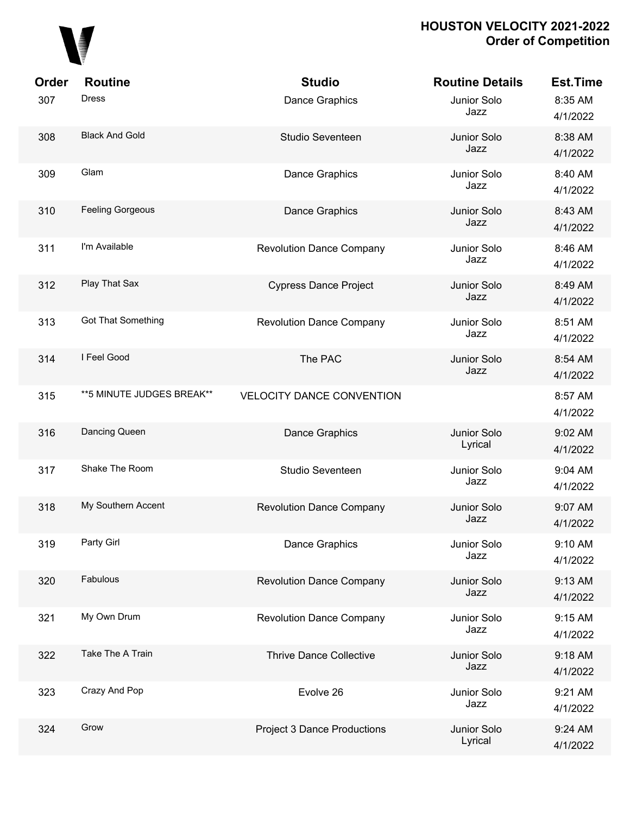

| Order | <b>Routine</b>             | <b>Studio</b>                      | <b>Routine Details</b> | <b>Est.Time</b>     |
|-------|----------------------------|------------------------------------|------------------------|---------------------|
| 307   | <b>Dress</b>               | Dance Graphics                     | Junior Solo<br>Jazz    | 8:35 AM<br>4/1/2022 |
| 308   | <b>Black And Gold</b>      | Studio Seventeen                   | Junior Solo<br>Jazz    | 8:38 AM<br>4/1/2022 |
| 309   | Glam                       | Dance Graphics                     | Junior Solo<br>Jazz    | 8:40 AM<br>4/1/2022 |
| 310   | <b>Feeling Gorgeous</b>    | <b>Dance Graphics</b>              | Junior Solo<br>Jazz    | 8:43 AM<br>4/1/2022 |
| 311   | I'm Available              | <b>Revolution Dance Company</b>    | Junior Solo<br>Jazz    | 8:46 AM<br>4/1/2022 |
| 312   | Play That Sax              | <b>Cypress Dance Project</b>       | Junior Solo<br>Jazz    | 8:49 AM<br>4/1/2022 |
| 313   | <b>Got That Something</b>  | <b>Revolution Dance Company</b>    | Junior Solo<br>Jazz    | 8:51 AM<br>4/1/2022 |
| 314   | I Feel Good                | The PAC                            | Junior Solo<br>Jazz    | 8:54 AM<br>4/1/2022 |
| 315   | ** 5 MINUTE JUDGES BREAK** | <b>VELOCITY DANCE CONVENTION</b>   |                        | 8:57 AM<br>4/1/2022 |
| 316   | Dancing Queen              | <b>Dance Graphics</b>              | Junior Solo<br>Lyrical | 9:02 AM<br>4/1/2022 |
| 317   | Shake The Room             | Studio Seventeen                   | Junior Solo<br>Jazz    | 9:04 AM<br>4/1/2022 |
| 318   | My Southern Accent         | <b>Revolution Dance Company</b>    | Junior Solo<br>Jazz    | 9:07 AM<br>4/1/2022 |
| 319   | Party Girl                 | Dance Graphics                     | Junior Solo<br>Jazz    | 9:10 AM<br>4/1/2022 |
| 320   | Fabulous                   | <b>Revolution Dance Company</b>    | Junior Solo<br>Jazz    | 9:13 AM<br>4/1/2022 |
| 321   | My Own Drum                | <b>Revolution Dance Company</b>    | Junior Solo<br>Jazz    | 9:15 AM<br>4/1/2022 |
| 322   | Take The A Train           | <b>Thrive Dance Collective</b>     | Junior Solo<br>Jazz    | 9:18 AM<br>4/1/2022 |
| 323   | Crazy And Pop              | Evolve 26                          | Junior Solo<br>Jazz    | 9:21 AM<br>4/1/2022 |
| 324   | Grow                       | <b>Project 3 Dance Productions</b> | Junior Solo<br>Lyrical | 9:24 AM<br>4/1/2022 |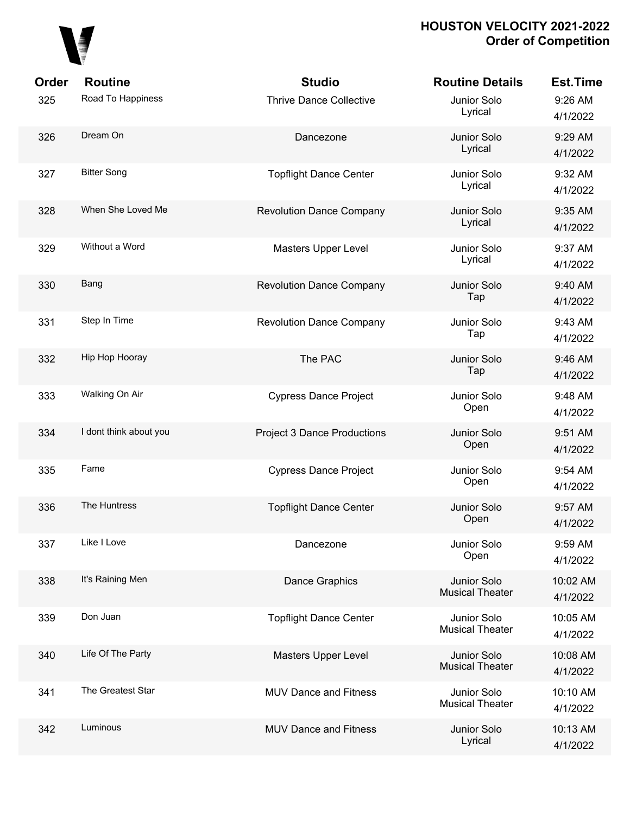

| Order | <b>Routine</b>         | <b>Studio</b>                      | <b>Routine Details</b>                | <b>Est.Time</b>      |
|-------|------------------------|------------------------------------|---------------------------------------|----------------------|
| 325   | Road To Happiness      | <b>Thrive Dance Collective</b>     | Junior Solo<br>Lyrical                | 9:26 AM<br>4/1/2022  |
| 326   | Dream On               | Dancezone                          | Junior Solo<br>Lyrical                | 9:29 AM<br>4/1/2022  |
| 327   | <b>Bitter Song</b>     | <b>Topflight Dance Center</b>      | Junior Solo<br>Lyrical                | 9:32 AM<br>4/1/2022  |
| 328   | When She Loved Me      | <b>Revolution Dance Company</b>    | Junior Solo<br>Lyrical                | 9:35 AM<br>4/1/2022  |
| 329   | Without a Word         | <b>Masters Upper Level</b>         | Junior Solo<br>Lyrical                | 9:37 AM<br>4/1/2022  |
| 330   | Bang                   | <b>Revolution Dance Company</b>    | Junior Solo<br>Tap                    | 9:40 AM<br>4/1/2022  |
| 331   | Step In Time           | <b>Revolution Dance Company</b>    | Junior Solo<br>Tap                    | 9:43 AM<br>4/1/2022  |
| 332   | Hip Hop Hooray         | The PAC                            | Junior Solo<br>Tap                    | 9:46 AM<br>4/1/2022  |
| 333   | Walking On Air         | <b>Cypress Dance Project</b>       | Junior Solo<br>Open                   | 9:48 AM<br>4/1/2022  |
| 334   | I dont think about you | <b>Project 3 Dance Productions</b> | Junior Solo<br>Open                   | 9:51 AM<br>4/1/2022  |
| 335   | Fame                   | <b>Cypress Dance Project</b>       | Junior Solo<br>Open                   | 9:54 AM<br>4/1/2022  |
| 336   | The Huntress           | <b>Topflight Dance Center</b>      | Junior Solo<br>Open                   | 9:57 AM<br>4/1/2022  |
| 337   | Like I Love            | Dancezone                          | Junior Solo<br>Open                   | 9:59 AM<br>4/1/2022  |
| 338   | It's Raining Men       | <b>Dance Graphics</b>              | Junior Solo<br><b>Musical Theater</b> | 10:02 AM<br>4/1/2022 |
| 339   | Don Juan               | <b>Topflight Dance Center</b>      | Junior Solo<br><b>Musical Theater</b> | 10:05 AM<br>4/1/2022 |
| 340   | Life Of The Party      | Masters Upper Level                | Junior Solo<br><b>Musical Theater</b> | 10:08 AM<br>4/1/2022 |
| 341   | The Greatest Star      | <b>MUV Dance and Fitness</b>       | Junior Solo<br><b>Musical Theater</b> | 10:10 AM<br>4/1/2022 |
| 342   | Luminous               | <b>MUV Dance and Fitness</b>       | Junior Solo<br>Lyrical                | 10:13 AM<br>4/1/2022 |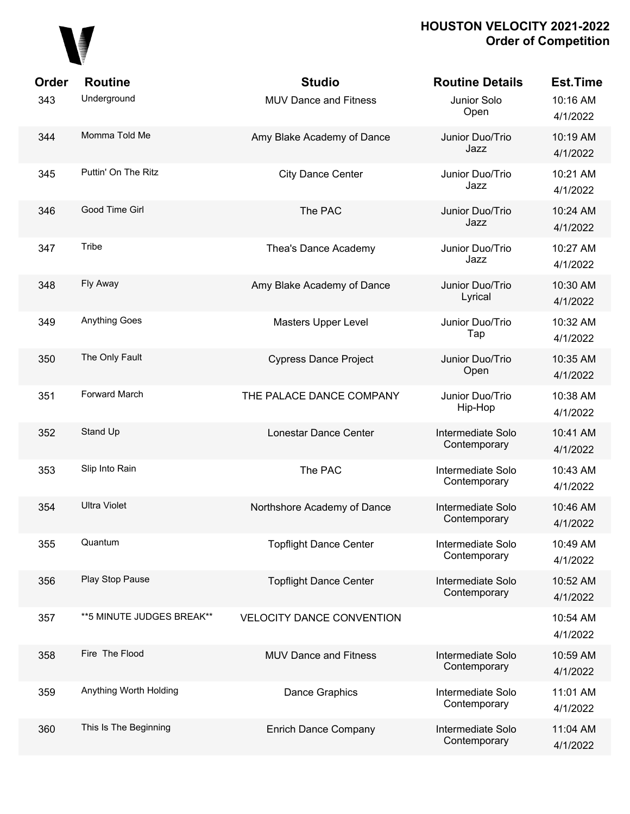# 

| Order | <b>Routine</b>             | <b>Studio</b>                    | <b>Routine Details</b>            | <b>Est.Time</b>      |
|-------|----------------------------|----------------------------------|-----------------------------------|----------------------|
| 343   | Underground                | <b>MUV Dance and Fitness</b>     | Junior Solo<br>Open               | 10:16 AM<br>4/1/2022 |
| 344   | Momma Told Me              | Amy Blake Academy of Dance       | Junior Duo/Trio<br>Jazz           | 10:19 AM<br>4/1/2022 |
| 345   | Puttin' On The Ritz        | <b>City Dance Center</b>         | Junior Duo/Trio<br>Jazz           | 10:21 AM<br>4/1/2022 |
| 346   | Good Time Girl             | The PAC                          | Junior Duo/Trio<br>Jazz           | 10:24 AM<br>4/1/2022 |
| 347   | Tribe                      | Thea's Dance Academy             | Junior Duo/Trio<br>Jazz           | 10:27 AM<br>4/1/2022 |
| 348   | Fly Away                   | Amy Blake Academy of Dance       | Junior Duo/Trio<br>Lyrical        | 10:30 AM<br>4/1/2022 |
| 349   | <b>Anything Goes</b>       | <b>Masters Upper Level</b>       | Junior Duo/Trio<br>Tap            | 10:32 AM<br>4/1/2022 |
| 350   | The Only Fault             | <b>Cypress Dance Project</b>     | Junior Duo/Trio<br>Open           | 10:35 AM<br>4/1/2022 |
| 351   | <b>Forward March</b>       | THE PALACE DANCE COMPANY         | Junior Duo/Trio<br>Hip-Hop        | 10:38 AM<br>4/1/2022 |
| 352   | Stand Up                   | Lonestar Dance Center            | Intermediate Solo<br>Contemporary | 10:41 AM<br>4/1/2022 |
| 353   | Slip Into Rain             | The PAC                          | Intermediate Solo<br>Contemporary | 10:43 AM<br>4/1/2022 |
| 354   | <b>Ultra Violet</b>        | Northshore Academy of Dance      | Intermediate Solo<br>Contemporary | 10:46 AM<br>4/1/2022 |
| 355   | Quantum                    | <b>Topflight Dance Center</b>    | Intermediate Solo<br>Contemporary | 10:49 AM<br>4/1/2022 |
| 356   | Play Stop Pause            | <b>Topflight Dance Center</b>    | Intermediate Solo<br>Contemporary | 10:52 AM<br>4/1/2022 |
| 357   | ** 5 MINUTE JUDGES BREAK** | <b>VELOCITY DANCE CONVENTION</b> |                                   | 10:54 AM<br>4/1/2022 |
| 358   | Fire The Flood             | <b>MUV Dance and Fitness</b>     | Intermediate Solo<br>Contemporary | 10:59 AM<br>4/1/2022 |
| 359   | Anything Worth Holding     | Dance Graphics                   | Intermediate Solo<br>Contemporary | 11:01 AM<br>4/1/2022 |
| 360   | This Is The Beginning      | <b>Enrich Dance Company</b>      | Intermediate Solo<br>Contemporary | 11:04 AM<br>4/1/2022 |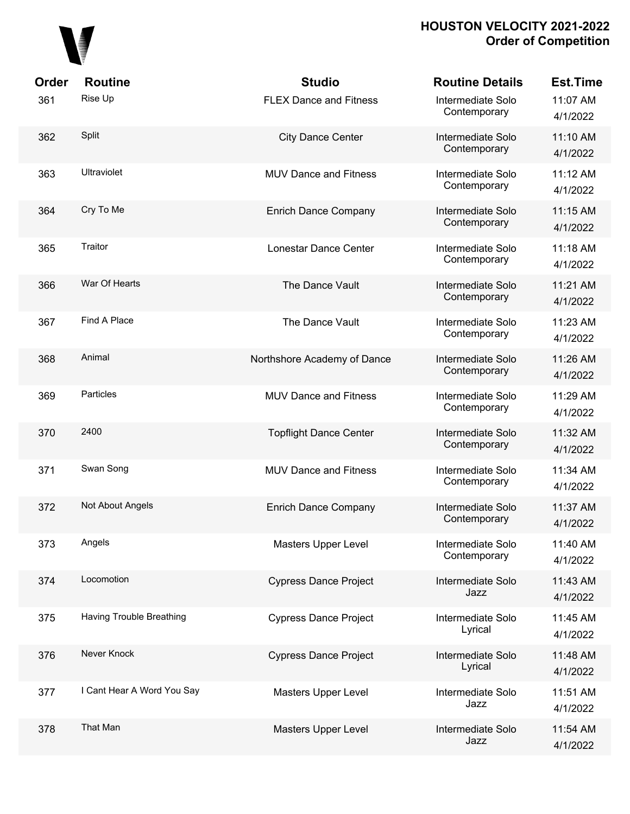

| Order | <b>Routine</b>             | <b>Studio</b>                 | <b>Routine Details</b>            | <b>Est.Time</b>      |
|-------|----------------------------|-------------------------------|-----------------------------------|----------------------|
| 361   | Rise Up                    | <b>FLEX Dance and Fitness</b> | Intermediate Solo<br>Contemporary | 11:07 AM<br>4/1/2022 |
| 362   | Split                      | <b>City Dance Center</b>      | Intermediate Solo<br>Contemporary | 11:10 AM<br>4/1/2022 |
| 363   | <b>Ultraviolet</b>         | <b>MUV Dance and Fitness</b>  | Intermediate Solo<br>Contemporary | 11:12 AM<br>4/1/2022 |
| 364   | Cry To Me                  | <b>Enrich Dance Company</b>   | Intermediate Solo<br>Contemporary | 11:15 AM<br>4/1/2022 |
| 365   | Traitor                    | Lonestar Dance Center         | Intermediate Solo<br>Contemporary | 11:18 AM<br>4/1/2022 |
| 366   | War Of Hearts              | The Dance Vault               | Intermediate Solo<br>Contemporary | 11:21 AM<br>4/1/2022 |
| 367   | Find A Place               | The Dance Vault               | Intermediate Solo<br>Contemporary | 11:23 AM<br>4/1/2022 |
| 368   | Animal                     | Northshore Academy of Dance   | Intermediate Solo<br>Contemporary | 11:26 AM<br>4/1/2022 |
| 369   | Particles                  | <b>MUV Dance and Fitness</b>  | Intermediate Solo<br>Contemporary | 11:29 AM<br>4/1/2022 |
| 370   | 2400                       | <b>Topflight Dance Center</b> | Intermediate Solo<br>Contemporary | 11:32 AM<br>4/1/2022 |
| 371   | Swan Song                  | <b>MUV Dance and Fitness</b>  | Intermediate Solo<br>Contemporary | 11:34 AM<br>4/1/2022 |
| 372   | Not About Angels           | <b>Enrich Dance Company</b>   | Intermediate Solo<br>Contemporary | 11:37 AM<br>4/1/2022 |
| 373   | Angels                     | Masters Upper Level           | Intermediate Solo<br>Contemporary | 11:40 AM<br>4/1/2022 |
| 374   | Locomotion                 | <b>Cypress Dance Project</b>  | Intermediate Solo<br>Jazz         | 11:43 AM<br>4/1/2022 |
| 375   | Having Trouble Breathing   | <b>Cypress Dance Project</b>  | Intermediate Solo<br>Lyrical      | 11:45 AM<br>4/1/2022 |
| 376   | Never Knock                | <b>Cypress Dance Project</b>  | Intermediate Solo<br>Lyrical      | 11:48 AM<br>4/1/2022 |
| 377   | I Cant Hear A Word You Say | Masters Upper Level           | Intermediate Solo<br>Jazz         | 11:51 AM<br>4/1/2022 |
| 378   | That Man                   | Masters Upper Level           | Intermediate Solo<br>Jazz         | 11:54 AM<br>4/1/2022 |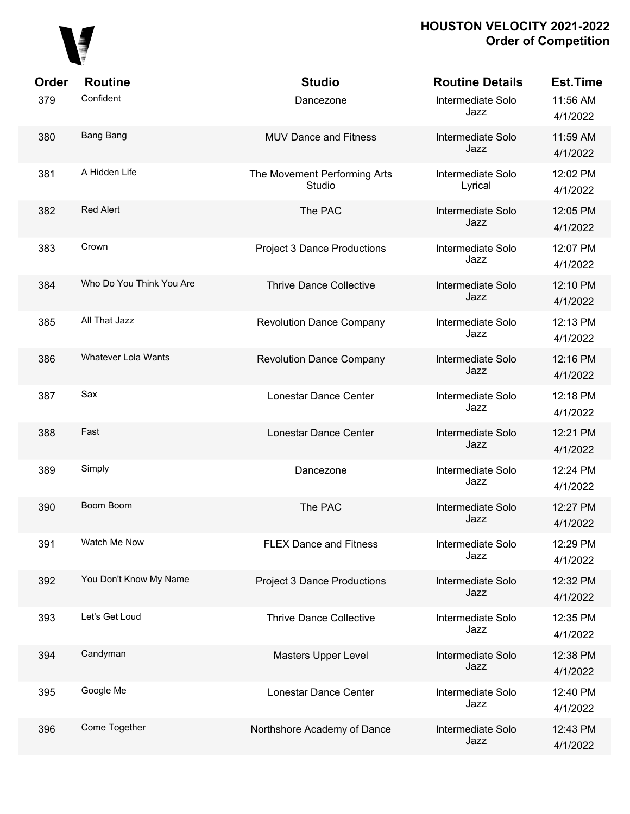

| Order | <b>Routine</b>             | <b>Studio</b>                          | <b>Routine Details</b>       | <b>Est.Time</b>      |
|-------|----------------------------|----------------------------------------|------------------------------|----------------------|
| 379   | Confident                  | Dancezone                              | Intermediate Solo<br>Jazz    | 11:56 AM<br>4/1/2022 |
| 380   | Bang Bang                  | <b>MUV Dance and Fitness</b>           | Intermediate Solo<br>Jazz    | 11:59 AM<br>4/1/2022 |
| 381   | A Hidden Life              | The Movement Performing Arts<br>Studio | Intermediate Solo<br>Lyrical | 12:02 PM<br>4/1/2022 |
| 382   | <b>Red Alert</b>           | The PAC                                | Intermediate Solo<br>Jazz    | 12:05 PM<br>4/1/2022 |
| 383   | Crown                      | <b>Project 3 Dance Productions</b>     | Intermediate Solo<br>Jazz    | 12:07 PM<br>4/1/2022 |
| 384   | Who Do You Think You Are   | <b>Thrive Dance Collective</b>         | Intermediate Solo<br>Jazz    | 12:10 PM<br>4/1/2022 |
| 385   | All That Jazz              | <b>Revolution Dance Company</b>        | Intermediate Solo<br>Jazz    | 12:13 PM<br>4/1/2022 |
| 386   | <b>Whatever Lola Wants</b> | <b>Revolution Dance Company</b>        | Intermediate Solo<br>Jazz    | 12:16 PM<br>4/1/2022 |
| 387   | Sax                        | Lonestar Dance Center                  | Intermediate Solo<br>Jazz    | 12:18 PM<br>4/1/2022 |
| 388   | Fast                       | Lonestar Dance Center                  | Intermediate Solo<br>Jazz    | 12:21 PM<br>4/1/2022 |
| 389   | Simply                     | Dancezone                              | Intermediate Solo<br>Jazz    | 12:24 PM<br>4/1/2022 |
| 390   | Boom Boom                  | The PAC                                | Intermediate Solo<br>Jazz    | 12:27 PM<br>4/1/2022 |
| 391   | Watch Me Now               | <b>FLEX Dance and Fitness</b>          | Intermediate Solo<br>Jazz    | 12:29 PM<br>4/1/2022 |
| 392   | You Don't Know My Name     | <b>Project 3 Dance Productions</b>     | Intermediate Solo<br>Jazz    | 12:32 PM<br>4/1/2022 |
| 393   | Let's Get Loud             | <b>Thrive Dance Collective</b>         | Intermediate Solo<br>Jazz    | 12:35 PM<br>4/1/2022 |
| 394   | Candyman                   | <b>Masters Upper Level</b>             | Intermediate Solo<br>Jazz    | 12:38 PM<br>4/1/2022 |
| 395   | Google Me                  | Lonestar Dance Center                  | Intermediate Solo<br>Jazz    | 12:40 PM<br>4/1/2022 |
| 396   | Come Together              | Northshore Academy of Dance            | Intermediate Solo<br>Jazz    | 12:43 PM<br>4/1/2022 |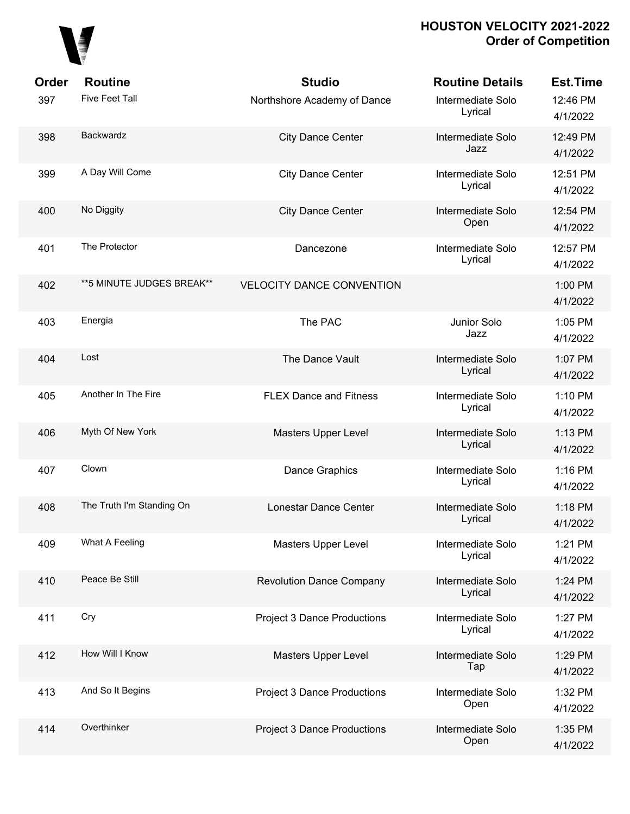

| Order | <b>Routine</b>             | <b>Studio</b>                      | <b>Routine Details</b>       | <b>Est.Time</b>      |
|-------|----------------------------|------------------------------------|------------------------------|----------------------|
| 397   | <b>Five Feet Tall</b>      | Northshore Academy of Dance        | Intermediate Solo<br>Lyrical | 12:46 PM<br>4/1/2022 |
| 398   | Backwardz                  | <b>City Dance Center</b>           | Intermediate Solo<br>Jazz    | 12:49 PM<br>4/1/2022 |
| 399   | A Day Will Come            | <b>City Dance Center</b>           | Intermediate Solo<br>Lyrical | 12:51 PM<br>4/1/2022 |
| 400   | No Diggity                 | <b>City Dance Center</b>           | Intermediate Solo<br>Open    | 12:54 PM<br>4/1/2022 |
| 401   | The Protector              | Dancezone                          | Intermediate Solo<br>Lyrical | 12:57 PM<br>4/1/2022 |
| 402   | ** 5 MINUTE JUDGES BREAK** | <b>VELOCITY DANCE CONVENTION</b>   |                              | 1:00 PM<br>4/1/2022  |
| 403   | Energia                    | The PAC                            | Junior Solo<br>Jazz          | 1:05 PM<br>4/1/2022  |
| 404   | Lost                       | The Dance Vault                    | Intermediate Solo<br>Lyrical | 1:07 PM<br>4/1/2022  |
| 405   | Another In The Fire        | <b>FLEX Dance and Fitness</b>      | Intermediate Solo<br>Lyrical | 1:10 PM<br>4/1/2022  |
| 406   | Myth Of New York           | Masters Upper Level                | Intermediate Solo<br>Lyrical | 1:13 PM<br>4/1/2022  |
| 407   | Clown                      | Dance Graphics                     | Intermediate Solo<br>Lyrical | 1:16 PM<br>4/1/2022  |
| 408   | The Truth I'm Standing On  | Lonestar Dance Center              | Intermediate Solo<br>Lyrical | 1:18 PM<br>4/1/2022  |
| 409   | What A Feeling             | Masters Upper Level                | Intermediate Solo<br>Lyrical | 1:21 PM<br>4/1/2022  |
| 410   | Peace Be Still             | <b>Revolution Dance Company</b>    | Intermediate Solo<br>Lyrical | 1:24 PM<br>4/1/2022  |
| 411   | Cry                        | <b>Project 3 Dance Productions</b> | Intermediate Solo<br>Lyrical | 1:27 PM<br>4/1/2022  |
| 412   | How Will I Know            | <b>Masters Upper Level</b>         | Intermediate Solo<br>Tap     | 1:29 PM<br>4/1/2022  |
| 413   | And So It Begins           | <b>Project 3 Dance Productions</b> | Intermediate Solo<br>Open    | 1:32 PM<br>4/1/2022  |
| 414   | Overthinker                | <b>Project 3 Dance Productions</b> | Intermediate Solo<br>Open    | 1:35 PM<br>4/1/2022  |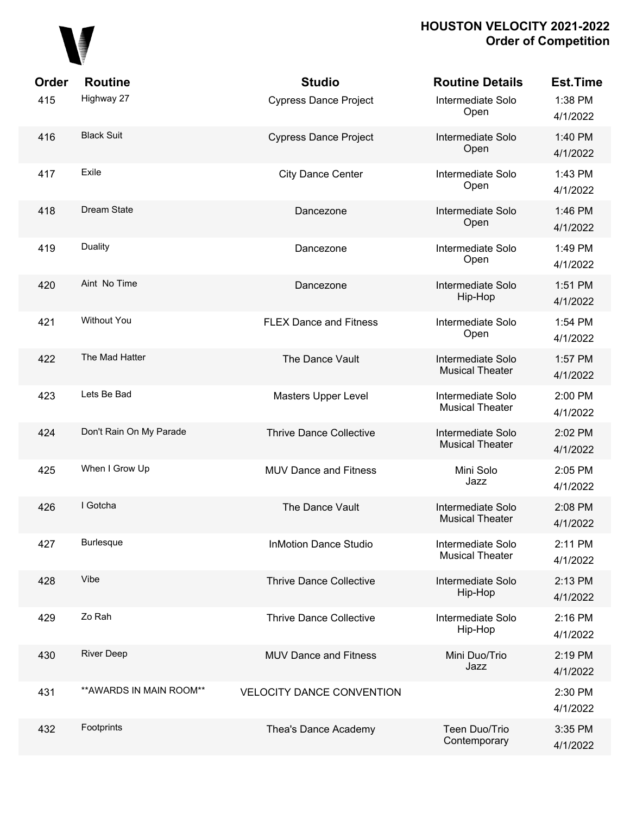

| Order<br>415 | <b>Routine</b><br>Highway 27 | <b>Studio</b><br><b>Cypress Dance Project</b> | <b>Routine Details</b><br>Intermediate Solo<br>Open | <b>Est.Time</b><br>1:38 PM<br>4/1/2022 |
|--------------|------------------------------|-----------------------------------------------|-----------------------------------------------------|----------------------------------------|
| 416          | <b>Black Suit</b>            | <b>Cypress Dance Project</b>                  | Intermediate Solo<br>Open                           | 1:40 PM<br>4/1/2022                    |
| 417          | Exile                        | <b>City Dance Center</b>                      | Intermediate Solo<br>Open                           | 1:43 PM<br>4/1/2022                    |
| 418          | Dream State                  | Dancezone                                     | Intermediate Solo<br>Open                           | 1:46 PM<br>4/1/2022                    |
| 419          | <b>Duality</b>               | Dancezone                                     | Intermediate Solo<br>Open                           | 1:49 PM<br>4/1/2022                    |
| 420          | Aint No Time                 | Dancezone                                     | Intermediate Solo<br>Hip-Hop                        | 1:51 PM<br>4/1/2022                    |
| 421          | <b>Without You</b>           | <b>FLEX Dance and Fitness</b>                 | Intermediate Solo<br>Open                           | 1:54 PM<br>4/1/2022                    |
| 422          | The Mad Hatter               | The Dance Vault                               | Intermediate Solo<br><b>Musical Theater</b>         | 1:57 PM<br>4/1/2022                    |
| 423          | Lets Be Bad                  | Masters Upper Level                           | Intermediate Solo<br><b>Musical Theater</b>         | 2:00 PM<br>4/1/2022                    |
| 424          | Don't Rain On My Parade      | <b>Thrive Dance Collective</b>                | Intermediate Solo<br><b>Musical Theater</b>         | 2:02 PM<br>4/1/2022                    |
| 425          | When I Grow Up               | <b>MUV Dance and Fitness</b>                  | Mini Solo<br>Jazz                                   | 2:05 PM<br>4/1/2022                    |
| 426          | I Gotcha                     | The Dance Vault                               | Intermediate Solo<br><b>Musical Theater</b>         | 2:08 PM<br>4/1/2022                    |
| 427          | <b>Burlesque</b>             | <b>InMotion Dance Studio</b>                  | Intermediate Solo<br><b>Musical Theater</b>         | 2:11 PM<br>4/1/2022                    |
| 428          | Vibe                         | <b>Thrive Dance Collective</b>                | Intermediate Solo<br>Hip-Hop                        | 2:13 PM<br>4/1/2022                    |
| 429          | Zo Rah                       | <b>Thrive Dance Collective</b>                | Intermediate Solo<br>Hip-Hop                        | 2:16 PM<br>4/1/2022                    |
| 430          | <b>River Deep</b>            | <b>MUV Dance and Fitness</b>                  | Mini Duo/Trio<br>Jazz                               | 2:19 PM<br>4/1/2022                    |
| 431          | ** AWARDS IN MAIN ROOM**     | <b>VELOCITY DANCE CONVENTION</b>              |                                                     | 2:30 PM<br>4/1/2022                    |
| 432          | Footprints                   | Thea's Dance Academy                          | Teen Duo/Trio<br>Contemporary                       | 3:35 PM<br>4/1/2022                    |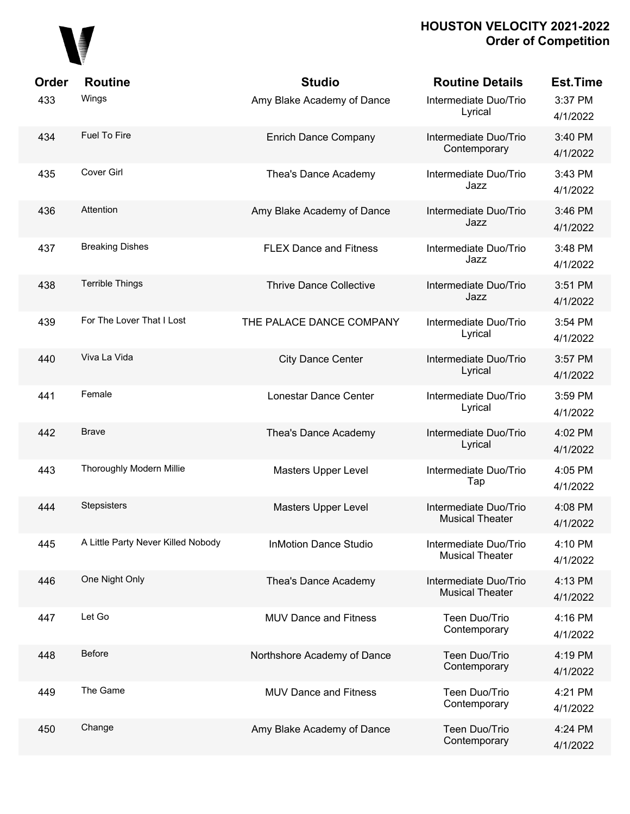

| Order | <b>Routine</b>                     | <b>Studio</b>                  | <b>Routine Details</b>                          | <b>Est.Time</b>     |
|-------|------------------------------------|--------------------------------|-------------------------------------------------|---------------------|
| 433   | Wings                              | Amy Blake Academy of Dance     | Intermediate Duo/Trio<br>Lyrical                | 3:37 PM<br>4/1/2022 |
| 434   | <b>Fuel To Fire</b>                | <b>Enrich Dance Company</b>    | Intermediate Duo/Trio<br>Contemporary           | 3:40 PM<br>4/1/2022 |
| 435   | Cover Girl                         | Thea's Dance Academy           | Intermediate Duo/Trio<br>Jazz                   | 3:43 PM<br>4/1/2022 |
| 436   | Attention                          | Amy Blake Academy of Dance     | Intermediate Duo/Trio<br>Jazz                   | 3:46 PM<br>4/1/2022 |
| 437   | <b>Breaking Dishes</b>             | <b>FLEX Dance and Fitness</b>  | Intermediate Duo/Trio<br>Jazz                   | 3:48 PM<br>4/1/2022 |
| 438   | <b>Terrible Things</b>             | <b>Thrive Dance Collective</b> | Intermediate Duo/Trio<br>Jazz                   | 3:51 PM<br>4/1/2022 |
| 439   | For The Lover That I Lost          | THE PALACE DANCE COMPANY       | Intermediate Duo/Trio<br>Lyrical                | 3:54 PM<br>4/1/2022 |
| 440   | Viva La Vida                       | <b>City Dance Center</b>       | Intermediate Duo/Trio<br>Lyrical                | 3:57 PM<br>4/1/2022 |
| 441   | Female                             | Lonestar Dance Center          | Intermediate Duo/Trio<br>Lyrical                | 3:59 PM<br>4/1/2022 |
| 442   | <b>Brave</b>                       | Thea's Dance Academy           | Intermediate Duo/Trio<br>Lyrical                | 4:02 PM<br>4/1/2022 |
| 443   | Thoroughly Modern Millie           | Masters Upper Level            | Intermediate Duo/Trio<br>Tap                    | 4:05 PM<br>4/1/2022 |
| 444   | <b>Stepsisters</b>                 | Masters Upper Level            | Intermediate Duo/Trio<br><b>Musical Theater</b> | 4:08 PM<br>4/1/2022 |
| 445   | A Little Party Never Killed Nobody | <b>InMotion Dance Studio</b>   | Intermediate Duo/Trio<br><b>Musical Theater</b> | 4:10 PM<br>4/1/2022 |
| 446   | One Night Only                     | Thea's Dance Academy           | Intermediate Duo/Trio<br><b>Musical Theater</b> | 4:13 PM<br>4/1/2022 |
| 447   | Let Go                             | <b>MUV Dance and Fitness</b>   | Teen Duo/Trio<br>Contemporary                   | 4:16 PM<br>4/1/2022 |
| 448   | <b>Before</b>                      | Northshore Academy of Dance    | Teen Duo/Trio<br>Contemporary                   | 4:19 PM<br>4/1/2022 |
| 449   | The Game                           | <b>MUV Dance and Fitness</b>   | Teen Duo/Trio<br>Contemporary                   | 4:21 PM<br>4/1/2022 |
| 450   | Change                             | Amy Blake Academy of Dance     | Teen Duo/Trio<br>Contemporary                   | 4:24 PM<br>4/1/2022 |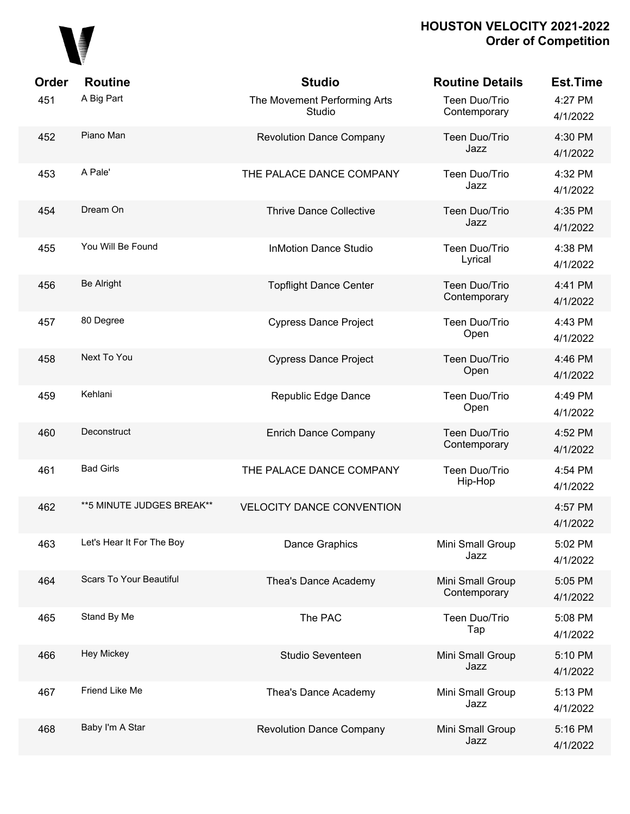

| Order | <b>Routine</b>                 | <b>Studio</b>                          | <b>Routine Details</b>           | <b>Est.Time</b>     |
|-------|--------------------------------|----------------------------------------|----------------------------------|---------------------|
| 451   | A Big Part                     | The Movement Performing Arts<br>Studio | Teen Duo/Trio<br>Contemporary    | 4:27 PM<br>4/1/2022 |
| 452   | Piano Man                      | <b>Revolution Dance Company</b>        | Teen Duo/Trio<br>Jazz            | 4:30 PM<br>4/1/2022 |
| 453   | A Pale'                        | THE PALACE DANCE COMPANY               | Teen Duo/Trio<br>Jazz            | 4:32 PM<br>4/1/2022 |
| 454   | Dream On                       | <b>Thrive Dance Collective</b>         | Teen Duo/Trio<br>Jazz            | 4:35 PM<br>4/1/2022 |
| 455   | You Will Be Found              | <b>InMotion Dance Studio</b>           | Teen Duo/Trio<br>Lyrical         | 4:38 PM<br>4/1/2022 |
| 456   | <b>Be Alright</b>              | <b>Topflight Dance Center</b>          | Teen Duo/Trio<br>Contemporary    | 4:41 PM<br>4/1/2022 |
| 457   | 80 Degree                      | <b>Cypress Dance Project</b>           | Teen Duo/Trio<br>Open            | 4:43 PM<br>4/1/2022 |
| 458   | Next To You                    | <b>Cypress Dance Project</b>           | Teen Duo/Trio<br>Open            | 4:46 PM<br>4/1/2022 |
| 459   | Kehlani                        | Republic Edge Dance                    | Teen Duo/Trio<br>Open            | 4:49 PM<br>4/1/2022 |
| 460   | Deconstruct                    | <b>Enrich Dance Company</b>            | Teen Duo/Trio<br>Contemporary    | 4:52 PM<br>4/1/2022 |
| 461   | <b>Bad Girls</b>               | THE PALACE DANCE COMPANY               | Teen Duo/Trio<br>Hip-Hop         | 4:54 PM<br>4/1/2022 |
| 462   | ** 5 MINUTE JUDGES BREAK**     | <b>VELOCITY DANCE CONVENTION</b>       |                                  | 4:57 PM<br>4/1/2022 |
| 463   | Let's Hear It For The Boy      | Dance Graphics                         | Mini Small Group<br>Jazz         | 5:02 PM<br>4/1/2022 |
| 464   | <b>Scars To Your Beautiful</b> | Thea's Dance Academy                   | Mini Small Group<br>Contemporary | 5:05 PM<br>4/1/2022 |
| 465   | Stand By Me                    | The PAC                                | Teen Duo/Trio<br>Tap             | 5:08 PM<br>4/1/2022 |
| 466   | Hey Mickey                     | Studio Seventeen                       | Mini Small Group<br>Jazz         | 5:10 PM<br>4/1/2022 |
| 467   | Friend Like Me                 | Thea's Dance Academy                   | Mini Small Group<br>Jazz         | 5:13 PM<br>4/1/2022 |
| 468   | Baby I'm A Star                | <b>Revolution Dance Company</b>        | Mini Small Group<br>Jazz         | 5:16 PM<br>4/1/2022 |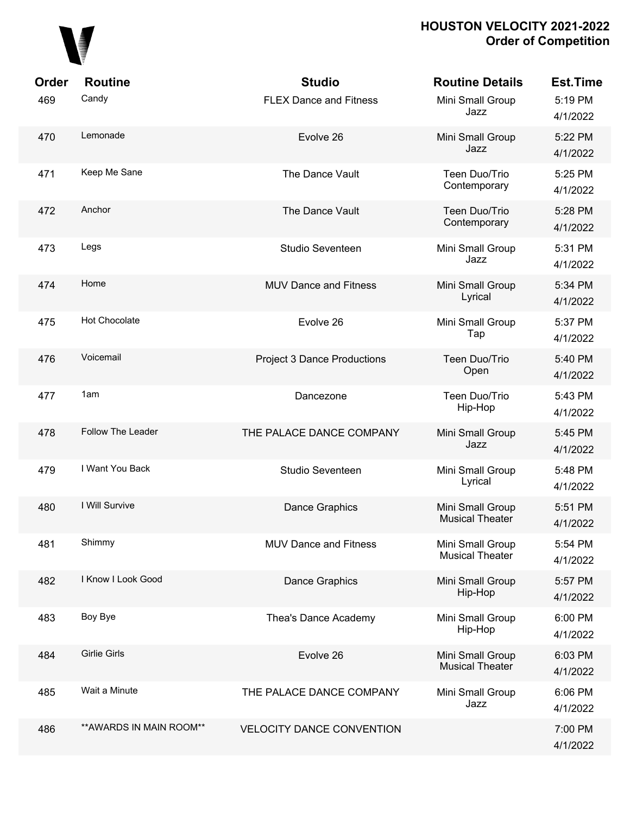

| Order | <b>Routine</b>           | <b>Studio</b>                      | <b>Routine Details</b>                     | <b>Est.Time</b>     |
|-------|--------------------------|------------------------------------|--------------------------------------------|---------------------|
| 469   | Candy                    | <b>FLEX Dance and Fitness</b>      | Mini Small Group<br>Jazz                   | 5:19 PM<br>4/1/2022 |
| 470   | Lemonade                 | Evolve 26                          | Mini Small Group<br>Jazz                   | 5:22 PM<br>4/1/2022 |
| 471   | Keep Me Sane             | The Dance Vault                    | Teen Duo/Trio<br>Contemporary              | 5:25 PM<br>4/1/2022 |
| 472   | Anchor                   | The Dance Vault                    | Teen Duo/Trio<br>Contemporary              | 5:28 PM<br>4/1/2022 |
| 473   | Legs                     | Studio Seventeen                   | Mini Small Group<br>Jazz                   | 5:31 PM<br>4/1/2022 |
| 474   | Home                     | <b>MUV Dance and Fitness</b>       | Mini Small Group<br>Lyrical                | 5:34 PM<br>4/1/2022 |
| 475   | <b>Hot Chocolate</b>     | Evolve 26                          | Mini Small Group<br>Tap                    | 5:37 PM<br>4/1/2022 |
| 476   | Voicemail                | <b>Project 3 Dance Productions</b> | Teen Duo/Trio<br>Open                      | 5:40 PM<br>4/1/2022 |
| 477   | 1am                      | Dancezone                          | Teen Duo/Trio<br>Hip-Hop                   | 5:43 PM<br>4/1/2022 |
| 478   | Follow The Leader        | THE PALACE DANCE COMPANY           | Mini Small Group<br>Jazz                   | 5:45 PM<br>4/1/2022 |
| 479   | I Want You Back          | Studio Seventeen                   | Mini Small Group<br>Lyrical                | 5:48 PM<br>4/1/2022 |
| 480   | I Will Survive           | Dance Graphics                     | Mini Small Group<br><b>Musical Theater</b> | 5:51 PM<br>4/1/2022 |
| 481   | Shimmy                   | <b>MUV Dance and Fitness</b>       | Mini Small Group<br><b>Musical Theater</b> | 5:54 PM<br>4/1/2022 |
| 482   | I Know I Look Good       | Dance Graphics                     | Mini Small Group<br>Hip-Hop                | 5:57 PM<br>4/1/2022 |
| 483   | Boy Bye                  | Thea's Dance Academy               | Mini Small Group<br>Hip-Hop                | 6:00 PM<br>4/1/2022 |
| 484   | <b>Girlie Girls</b>      | Evolve 26                          | Mini Small Group<br><b>Musical Theater</b> | 6:03 PM<br>4/1/2022 |
| 485   | Wait a Minute            | THE PALACE DANCE COMPANY           | Mini Small Group<br>Jazz                   | 6:06 PM<br>4/1/2022 |
| 486   | ** AWARDS IN MAIN ROOM** | <b>VELOCITY DANCE CONVENTION</b>   |                                            | 7:00 PM<br>4/1/2022 |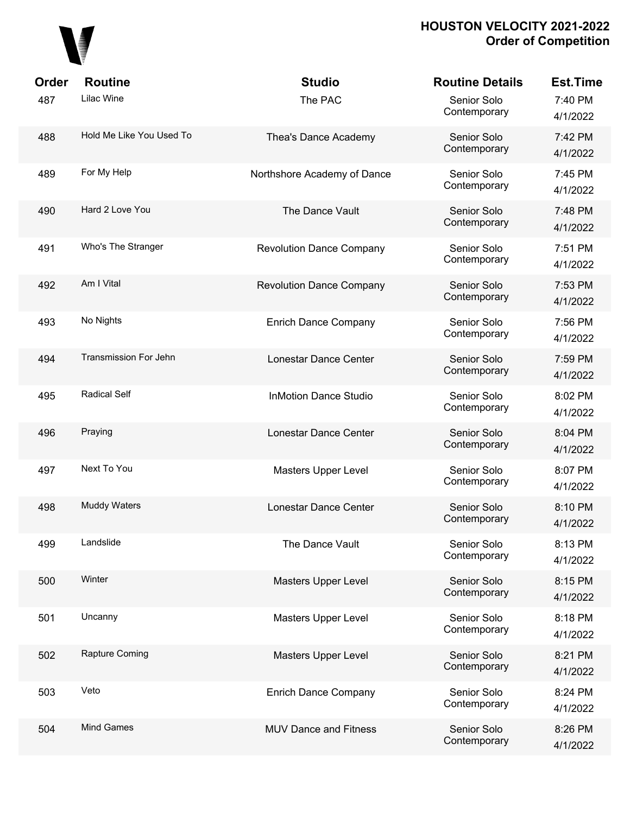## 

| Order | <b>Routine</b>               | <b>Studio</b>                   | <b>Routine Details</b>      | <b>Est.Time</b>     |
|-------|------------------------------|---------------------------------|-----------------------------|---------------------|
| 487   | Lilac Wine                   | The PAC                         | Senior Solo<br>Contemporary | 7:40 PM<br>4/1/2022 |
| 488   | Hold Me Like You Used To     | Thea's Dance Academy            | Senior Solo<br>Contemporary | 7:42 PM<br>4/1/2022 |
| 489   | For My Help                  | Northshore Academy of Dance     | Senior Solo<br>Contemporary | 7:45 PM<br>4/1/2022 |
| 490   | Hard 2 Love You              | The Dance Vault                 | Senior Solo<br>Contemporary | 7:48 PM<br>4/1/2022 |
| 491   | Who's The Stranger           | <b>Revolution Dance Company</b> | Senior Solo<br>Contemporary | 7:51 PM<br>4/1/2022 |
| 492   | Am I Vital                   | <b>Revolution Dance Company</b> | Senior Solo<br>Contemporary | 7:53 PM<br>4/1/2022 |
| 493   | No Nights                    | <b>Enrich Dance Company</b>     | Senior Solo<br>Contemporary | 7:56 PM<br>4/1/2022 |
| 494   | <b>Transmission For Jehn</b> | Lonestar Dance Center           | Senior Solo<br>Contemporary | 7:59 PM<br>4/1/2022 |
| 495   | <b>Radical Self</b>          | <b>InMotion Dance Studio</b>    | Senior Solo<br>Contemporary | 8:02 PM<br>4/1/2022 |
| 496   | Praying                      | Lonestar Dance Center           | Senior Solo<br>Contemporary | 8:04 PM<br>4/1/2022 |
| 497   | Next To You                  | Masters Upper Level             | Senior Solo<br>Contemporary | 8:07 PM<br>4/1/2022 |
| 498   | <b>Muddy Waters</b>          | Lonestar Dance Center           | Senior Solo<br>Contemporary | 8:10 PM<br>4/1/2022 |
| 499   | Landslide                    | The Dance Vault                 | Senior Solo<br>Contemporary | 8:13 PM<br>4/1/2022 |
| 500   | Winter                       | <b>Masters Upper Level</b>      | Senior Solo<br>Contemporary | 8:15 PM<br>4/1/2022 |
| 501   | Uncanny                      | <b>Masters Upper Level</b>      | Senior Solo<br>Contemporary | 8:18 PM<br>4/1/2022 |
| 502   | Rapture Coming               | <b>Masters Upper Level</b>      | Senior Solo<br>Contemporary | 8:21 PM<br>4/1/2022 |
| 503   | Veto                         | <b>Enrich Dance Company</b>     | Senior Solo<br>Contemporary | 8:24 PM<br>4/1/2022 |
| 504   | <b>Mind Games</b>            | <b>MUV Dance and Fitness</b>    | Senior Solo<br>Contemporary | 8:26 PM<br>4/1/2022 |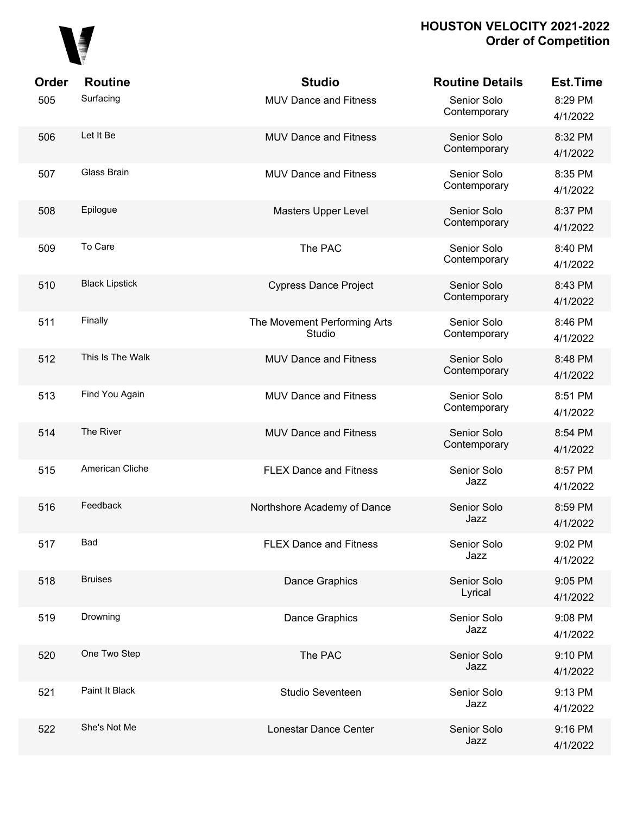# 

| Order | <b>Routine</b>        | <b>Studio</b>                          | <b>Routine Details</b>      | <b>Est.Time</b>     |
|-------|-----------------------|----------------------------------------|-----------------------------|---------------------|
| 505   | Surfacing             | <b>MUV Dance and Fitness</b>           | Senior Solo<br>Contemporary | 8:29 PM<br>4/1/2022 |
| 506   | Let It Be             | <b>MUV Dance and Fitness</b>           | Senior Solo<br>Contemporary | 8:32 PM<br>4/1/2022 |
| 507   | Glass Brain           | <b>MUV Dance and Fitness</b>           | Senior Solo<br>Contemporary | 8:35 PM<br>4/1/2022 |
| 508   | Epilogue              | Masters Upper Level                    | Senior Solo<br>Contemporary | 8:37 PM<br>4/1/2022 |
| 509   | To Care               | The PAC                                | Senior Solo<br>Contemporary | 8:40 PM<br>4/1/2022 |
| 510   | <b>Black Lipstick</b> | <b>Cypress Dance Project</b>           | Senior Solo<br>Contemporary | 8:43 PM<br>4/1/2022 |
| 511   | Finally               | The Movement Performing Arts<br>Studio | Senior Solo<br>Contemporary | 8:46 PM<br>4/1/2022 |
| 512   | This Is The Walk      | <b>MUV Dance and Fitness</b>           | Senior Solo<br>Contemporary | 8:48 PM<br>4/1/2022 |
| 513   | Find You Again        | MUV Dance and Fitness                  | Senior Solo<br>Contemporary | 8:51 PM<br>4/1/2022 |
| 514   | The River             | <b>MUV Dance and Fitness</b>           | Senior Solo<br>Contemporary | 8:54 PM<br>4/1/2022 |
| 515   | American Cliche       | <b>FLEX Dance and Fitness</b>          | Senior Solo<br>Jazz         | 8:57 PM<br>4/1/2022 |
| 516   | Feedback              | Northshore Academy of Dance            | Senior Solo<br>Jazz         | 8:59 PM<br>4/1/2022 |
| 517   | <b>Bad</b>            | <b>FLEX Dance and Fitness</b>          | Senior Solo<br>Jazz         | 9:02 PM<br>4/1/2022 |
| 518   | <b>Bruises</b>        | Dance Graphics                         | Senior Solo<br>Lyrical      | 9:05 PM<br>4/1/2022 |
| 519   | Drowning              | Dance Graphics                         | Senior Solo<br>Jazz         | 9:08 PM<br>4/1/2022 |
| 520   | One Two Step          | The PAC                                | Senior Solo<br>Jazz         | 9:10 PM<br>4/1/2022 |
| 521   | Paint It Black        | Studio Seventeen                       | Senior Solo<br>Jazz         | 9:13 PM<br>4/1/2022 |
| 522   | She's Not Me          | Lonestar Dance Center                  | Senior Solo<br>Jazz         | 9:16 PM<br>4/1/2022 |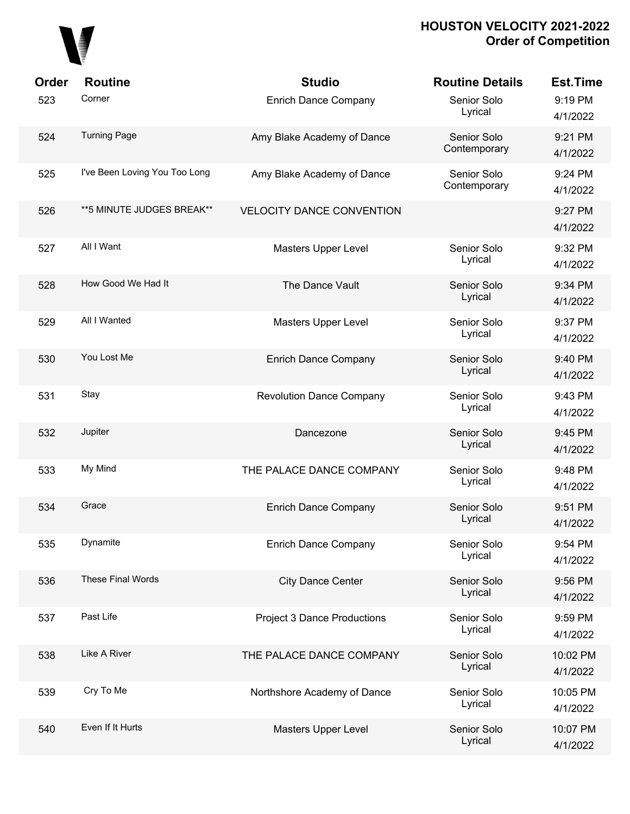

| Order | <b>Routine</b>                | <b>Studio</b>                      | <b>Routine Details</b>      | <b>Est.Time</b>      |
|-------|-------------------------------|------------------------------------|-----------------------------|----------------------|
| 523   | Corner                        | <b>Enrich Dance Company</b>        | Senior Solo<br>Lyrical      | 9:19 PM<br>4/1/2022  |
| 524   | <b>Turning Page</b>           | Amy Blake Academy of Dance         | Senior Solo<br>Contemporary | 9:21 PM<br>4/1/2022  |
| 525   | I've Been Loving You Too Long | Amy Blake Academy of Dance         | Senior Solo<br>Contemporary | 9:24 PM<br>4/1/2022  |
| 526   | ** 5 MINUTE JUDGES BREAK**    | <b>VELOCITY DANCE CONVENTION</b>   |                             | 9:27 PM<br>4/1/2022  |
| 527   | All I Want                    | Masters Upper Level                | Senior Solo<br>Lyrical      | 9:32 PM<br>4/1/2022  |
| 528   | How Good We Had It            | The Dance Vault                    | Senior Solo<br>Lyrical      | 9:34 PM<br>4/1/2022  |
| 529   | All I Wanted                  | Masters Upper Level                | Senior Solo<br>Lyrical      | 9:37 PM<br>4/1/2022  |
| 530   | You Lost Me                   | <b>Enrich Dance Company</b>        | Senior Solo<br>Lyrical      | 9:40 PM<br>4/1/2022  |
| 531   | Stay                          | <b>Revolution Dance Company</b>    | Senior Solo<br>Lyrical      | 9:43 PM<br>4/1/2022  |
| 532   | Jupiter                       | Dancezone                          | Senior Solo<br>Lyrical      | 9:45 PM<br>4/1/2022  |
| 533   | My Mind                       | THE PALACE DANCE COMPANY           | Senior Solo<br>Lyrical      | 9:48 PM<br>4/1/2022  |
| 534   | Grace                         | <b>Enrich Dance Company</b>        | Senior Solo<br>Lyrical      | 9:51 PM<br>4/1/2022  |
| 535   | Dynamite                      | <b>Enrich Dance Company</b>        | Senior Solo<br>Lyrical      | 9:54 PM<br>4/1/2022  |
| 536   | These Final Words             | <b>City Dance Center</b>           | Senior Solo<br>Lyrical      | 9:56 PM<br>4/1/2022  |
| 537   | Past Life                     | <b>Project 3 Dance Productions</b> | Senior Solo<br>Lyrical      | 9:59 PM<br>4/1/2022  |
| 538   | Like A River                  | THE PALACE DANCE COMPANY           | Senior Solo<br>Lyrical      | 10:02 PM<br>4/1/2022 |
| 539   | Cry To Me                     | Northshore Academy of Dance        | Senior Solo<br>Lyrical      | 10:05 PM<br>4/1/2022 |
| 540   | Even If It Hurts              | Masters Upper Level                | Senior Solo<br>Lyrical      | 10:07 PM<br>4/1/2022 |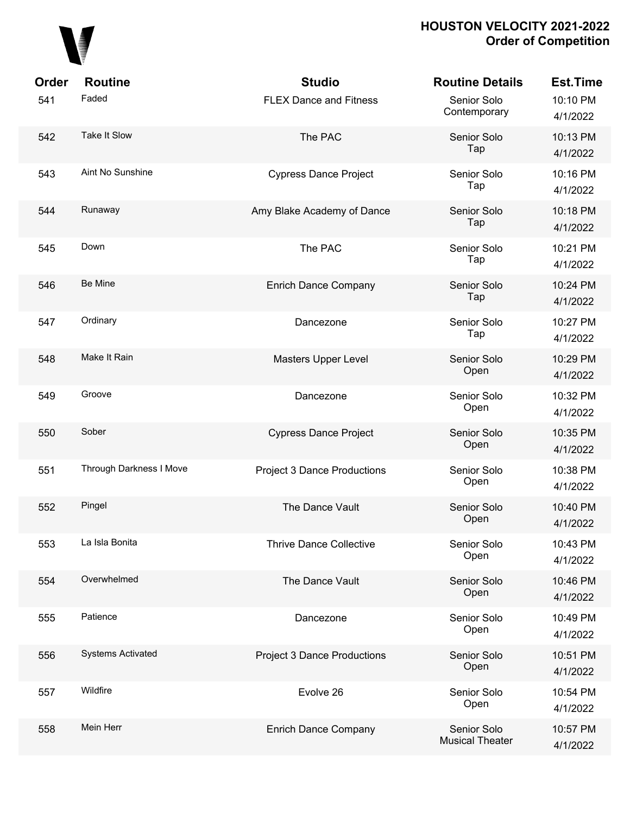

| <b>Order</b> | <b>Routine</b>           | <b>Studio</b>                      | <b>Routine Details</b>                | <b>Est.Time</b>      |
|--------------|--------------------------|------------------------------------|---------------------------------------|----------------------|
| 541          | Faded                    | <b>FLEX Dance and Fitness</b>      | Senior Solo<br>Contemporary           | 10:10 PM<br>4/1/2022 |
| 542          | Take It Slow             | The PAC                            | Senior Solo<br>Tap                    | 10:13 PM<br>4/1/2022 |
| 543          | Aint No Sunshine         | <b>Cypress Dance Project</b>       | Senior Solo<br>Tap                    | 10:16 PM<br>4/1/2022 |
| 544          | Runaway                  | Amy Blake Academy of Dance         | Senior Solo<br>Tap                    | 10:18 PM<br>4/1/2022 |
| 545          | Down                     | The PAC                            | Senior Solo<br>Tap                    | 10:21 PM<br>4/1/2022 |
| 546          | Be Mine                  | <b>Enrich Dance Company</b>        | Senior Solo<br>Tap                    | 10:24 PM<br>4/1/2022 |
| 547          | Ordinary                 | Dancezone                          | Senior Solo<br>Tap                    | 10:27 PM<br>4/1/2022 |
| 548          | Make It Rain             | Masters Upper Level                | Senior Solo<br>Open                   | 10:29 PM<br>4/1/2022 |
| 549          | Groove                   | Dancezone                          | Senior Solo<br>Open                   | 10:32 PM<br>4/1/2022 |
| 550          | Sober                    | <b>Cypress Dance Project</b>       | Senior Solo<br>Open                   | 10:35 PM<br>4/1/2022 |
| 551          | Through Darkness I Move  | <b>Project 3 Dance Productions</b> | Senior Solo<br>Open                   | 10:38 PM<br>4/1/2022 |
| 552          | Pingel                   | The Dance Vault                    | Senior Solo<br>Open                   | 10:40 PM<br>4/1/2022 |
| 553          | La Isla Bonita           | <b>Thrive Dance Collective</b>     | Senior Solo<br>Open                   | 10:43 PM<br>4/1/2022 |
| 554          | Overwhelmed              | The Dance Vault                    | Senior Solo<br>Open                   | 10:46 PM<br>4/1/2022 |
| 555          | Patience                 | Dancezone                          | Senior Solo<br>Open                   | 10:49 PM<br>4/1/2022 |
| 556          | <b>Systems Activated</b> | <b>Project 3 Dance Productions</b> | Senior Solo<br>Open                   | 10:51 PM<br>4/1/2022 |
| 557          | Wildfire                 | Evolve 26                          | Senior Solo<br>Open                   | 10:54 PM<br>4/1/2022 |
| 558          | Mein Herr                | <b>Enrich Dance Company</b>        | Senior Solo<br><b>Musical Theater</b> | 10:57 PM<br>4/1/2022 |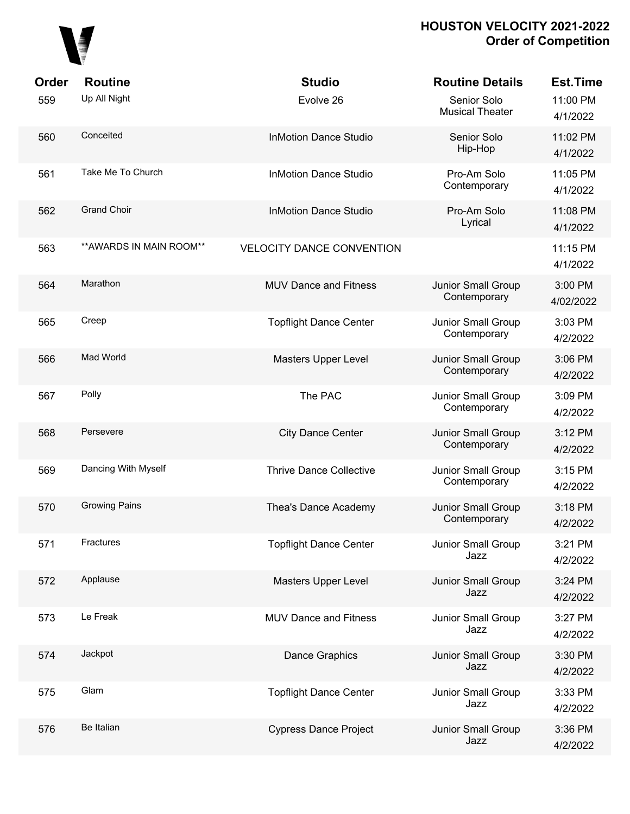

| Order<br>559 | <b>Routine</b><br>Up All Night | <b>Studio</b><br>Evolve 26       | <b>Routine Details</b><br>Senior Solo | <b>Est.Time</b><br>11:00 PM |
|--------------|--------------------------------|----------------------------------|---------------------------------------|-----------------------------|
|              |                                |                                  | <b>Musical Theater</b>                | 4/1/2022                    |
| 560          | Conceited                      | <b>InMotion Dance Studio</b>     | Senior Solo<br>Hip-Hop                | 11:02 PM<br>4/1/2022        |
| 561          | Take Me To Church              | <b>InMotion Dance Studio</b>     | Pro-Am Solo<br>Contemporary           | 11:05 PM<br>4/1/2022        |
| 562          | <b>Grand Choir</b>             | <b>InMotion Dance Studio</b>     | Pro-Am Solo<br>Lyrical                | 11:08 PM<br>4/1/2022        |
| 563          | ** AWARDS IN MAIN ROOM**       | <b>VELOCITY DANCE CONVENTION</b> |                                       | 11:15 PM<br>4/1/2022        |
| 564          | Marathon                       | <b>MUV Dance and Fitness</b>     | Junior Small Group<br>Contemporary    | 3:00 PM<br>4/02/2022        |
| 565          | Creep                          | <b>Topflight Dance Center</b>    | Junior Small Group<br>Contemporary    | 3:03 PM<br>4/2/2022         |
| 566          | Mad World                      | Masters Upper Level              | Junior Small Group<br>Contemporary    | 3:06 PM<br>4/2/2022         |
| 567          | Polly                          | The PAC                          | Junior Small Group<br>Contemporary    | 3:09 PM<br>4/2/2022         |
| 568          | Persevere                      | <b>City Dance Center</b>         | Junior Small Group<br>Contemporary    | 3:12 PM<br>4/2/2022         |
| 569          | Dancing With Myself            | <b>Thrive Dance Collective</b>   | Junior Small Group<br>Contemporary    | 3:15 PM<br>4/2/2022         |
| 570          | <b>Growing Pains</b>           | Thea's Dance Academy             | Junior Small Group<br>Contemporary    | 3:18 PM<br>4/2/2022         |
| 571          | Fractures                      | <b>Topflight Dance Center</b>    | Junior Small Group<br>Jazz            | 3:21 PM<br>4/2/2022         |
| 572          | Applause                       | Masters Upper Level              | Junior Small Group<br>Jazz            | 3:24 PM<br>4/2/2022         |
| 573          | Le Freak                       | MUV Dance and Fitness            | Junior Small Group<br>Jazz            | 3:27 PM<br>4/2/2022         |
| 574          | Jackpot                        | <b>Dance Graphics</b>            | Junior Small Group<br>Jazz            | 3:30 PM<br>4/2/2022         |
| 575          | Glam                           | <b>Topflight Dance Center</b>    | Junior Small Group<br>Jazz            | 3:33 PM<br>4/2/2022         |
| 576          | Be Italian                     | <b>Cypress Dance Project</b>     | Junior Small Group<br>Jazz            | 3:36 PM<br>4/2/2022         |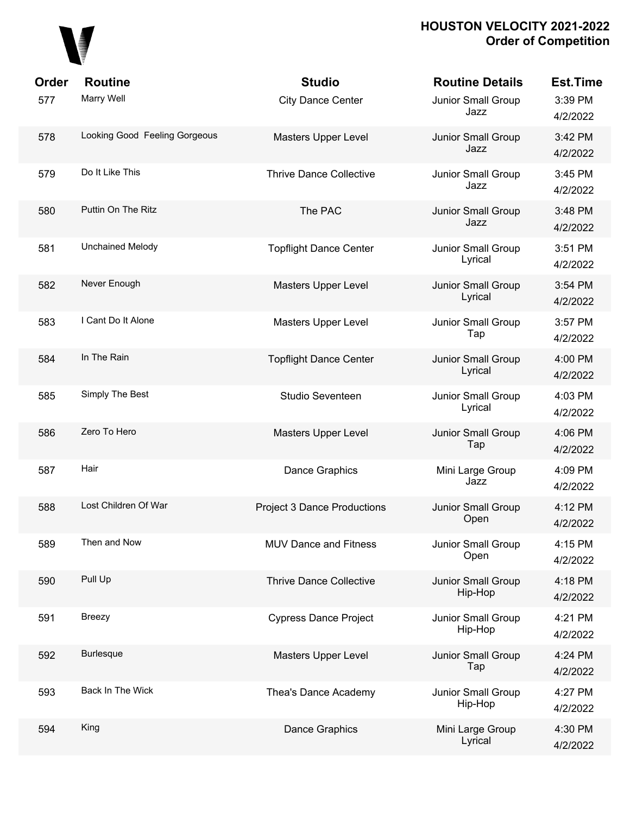

| Order | <b>Routine</b>                | <b>Studio</b>                      | <b>Routine Details</b>        | <b>Est.Time</b>     |
|-------|-------------------------------|------------------------------------|-------------------------------|---------------------|
| 577   | Marry Well                    | <b>City Dance Center</b>           | Junior Small Group<br>Jazz    | 3:39 PM<br>4/2/2022 |
| 578   | Looking Good Feeling Gorgeous | <b>Masters Upper Level</b>         | Junior Small Group<br>Jazz    | 3:42 PM<br>4/2/2022 |
| 579   | Do It Like This               | <b>Thrive Dance Collective</b>     | Junior Small Group<br>Jazz    | 3:45 PM<br>4/2/2022 |
| 580   | Puttin On The Ritz            | The PAC                            | Junior Small Group<br>Jazz    | 3:48 PM<br>4/2/2022 |
| 581   | <b>Unchained Melody</b>       | <b>Topflight Dance Center</b>      | Junior Small Group<br>Lyrical | 3:51 PM<br>4/2/2022 |
| 582   | Never Enough                  | Masters Upper Level                | Junior Small Group<br>Lyrical | 3:54 PM<br>4/2/2022 |
| 583   | I Cant Do It Alone            | Masters Upper Level                | Junior Small Group<br>Tap     | 3:57 PM<br>4/2/2022 |
| 584   | In The Rain                   | <b>Topflight Dance Center</b>      | Junior Small Group<br>Lyrical | 4:00 PM<br>4/2/2022 |
| 585   | Simply The Best               | Studio Seventeen                   | Junior Small Group<br>Lyrical | 4:03 PM<br>4/2/2022 |
| 586   | Zero To Hero                  | Masters Upper Level                | Junior Small Group<br>Tap     | 4:06 PM<br>4/2/2022 |
| 587   | Hair                          | Dance Graphics                     | Mini Large Group<br>Jazz      | 4:09 PM<br>4/2/2022 |
| 588   | Lost Children Of War          | <b>Project 3 Dance Productions</b> | Junior Small Group<br>Open    | 4:12 PM<br>4/2/2022 |
| 589   | Then and Now                  | <b>MUV Dance and Fitness</b>       | Junior Small Group<br>Open    | 4:15 PM<br>4/2/2022 |
| 590   | Pull Up                       | <b>Thrive Dance Collective</b>     | Junior Small Group<br>Hip-Hop | 4:18 PM<br>4/2/2022 |
| 591   | Breezy                        | <b>Cypress Dance Project</b>       | Junior Small Group<br>Hip-Hop | 4:21 PM<br>4/2/2022 |
| 592   | <b>Burlesque</b>              | Masters Upper Level                | Junior Small Group<br>Tap     | 4:24 PM<br>4/2/2022 |
| 593   | Back In The Wick              | Thea's Dance Academy               | Junior Small Group<br>Hip-Hop | 4:27 PM<br>4/2/2022 |
| 594   | King                          | Dance Graphics                     | Mini Large Group<br>Lyrical   | 4:30 PM<br>4/2/2022 |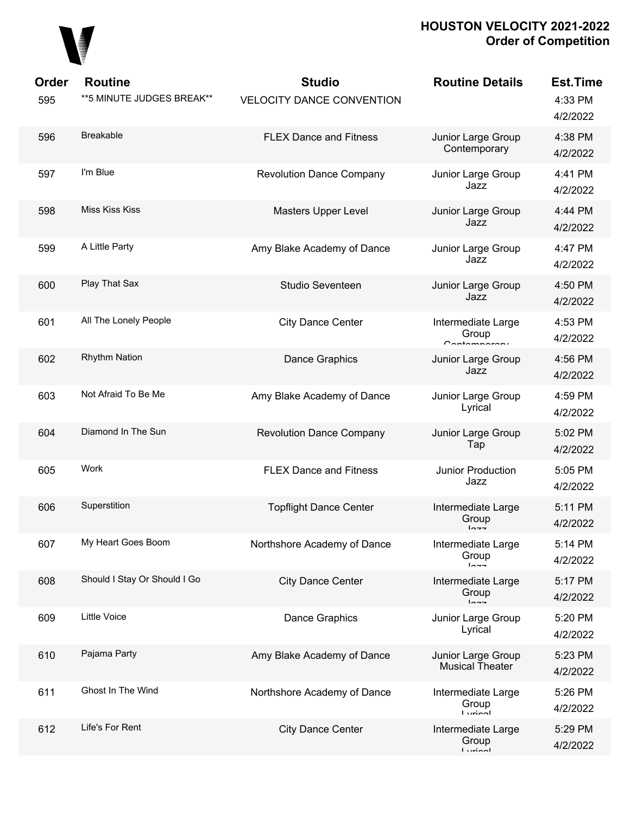

| Order<br>595 | <b>Routine</b><br>** 5 MINUTE JUDGES BREAK** | <b>Studio</b><br><b>VELOCITY DANCE CONVENTION</b> | <b>Routine Details</b>                            | <b>Est.Time</b><br>4:33 PM<br>4/2/2022 |
|--------------|----------------------------------------------|---------------------------------------------------|---------------------------------------------------|----------------------------------------|
| 596          | Breakable                                    | <b>FLEX Dance and Fitness</b>                     | Junior Large Group<br>Contemporary                | 4:38 PM<br>4/2/2022                    |
| 597          | I'm Blue                                     | <b>Revolution Dance Company</b>                   | Junior Large Group<br>Jazz                        | 4:41 PM<br>4/2/2022                    |
| 598          | Miss Kiss Kiss                               | Masters Upper Level                               | Junior Large Group<br>Jazz                        | 4:44 PM<br>4/2/2022                    |
| 599          | A Little Party                               | Amy Blake Academy of Dance                        | Junior Large Group<br>Jazz                        | 4:47 PM<br>4/2/2022                    |
| 600          | Play That Sax                                | Studio Seventeen                                  | Junior Large Group<br>Jazz                        | 4:50 PM<br>4/2/2022                    |
| 601          | All The Lonely People                        | <b>City Dance Center</b>                          | Intermediate Large<br>Group<br>Contemperary       | 4:53 PM<br>4/2/2022                    |
| 602          | <b>Rhythm Nation</b>                         | Dance Graphics                                    | Junior Large Group<br>Jazz                        | 4:56 PM<br>4/2/2022                    |
| 603          | Not Afraid To Be Me                          | Amy Blake Academy of Dance                        | Junior Large Group<br>Lyrical                     | 4:59 PM<br>4/2/2022                    |
| 604          | Diamond In The Sun                           | <b>Revolution Dance Company</b>                   | Junior Large Group<br>Tap                         | 5:02 PM<br>4/2/2022                    |
| 605          | Work                                         | <b>FLEX Dance and Fitness</b>                     | Junior Production<br>Jazz                         | 5:05 PM<br>4/2/2022                    |
| 606          | Superstition                                 | <b>Topflight Dance Center</b>                     | Intermediate Large<br>Group<br>トヘーー               | 5:11 PM<br>4/2/2022                    |
| 607          | My Heart Goes Boom                           | Northshore Academy of Dance                       | Intermediate Large<br>Group<br>$ln - -$           | 5:14 PM<br>4/2/2022                    |
| 608          | Should I Stay Or Should I Go                 | <b>City Dance Center</b>                          | Intermediate Large<br>Group<br>$ln -$             | 5:17 PM<br>4/2/2022                    |
| 609          | <b>Little Voice</b>                          | <b>Dance Graphics</b>                             | Junior Large Group<br>Lyrical                     | 5:20 PM<br>4/2/2022                    |
| 610          | Pajama Party                                 | Amy Blake Academy of Dance                        | Junior Large Group<br><b>Musical Theater</b>      | 5:23 PM<br>4/2/2022                    |
| 611          | Ghost In The Wind                            | Northshore Academy of Dance                       | Intermediate Large<br>Group<br><b>Liminal</b>     | 5:26 PM<br>4/2/2022                    |
| 612          | Life's For Rent                              | <b>City Dance Center</b>                          | Intermediate Large<br>Group<br>$I$ <i>simposi</i> | 5:29 PM<br>4/2/2022                    |
|              |                                              |                                                   |                                                   |                                        |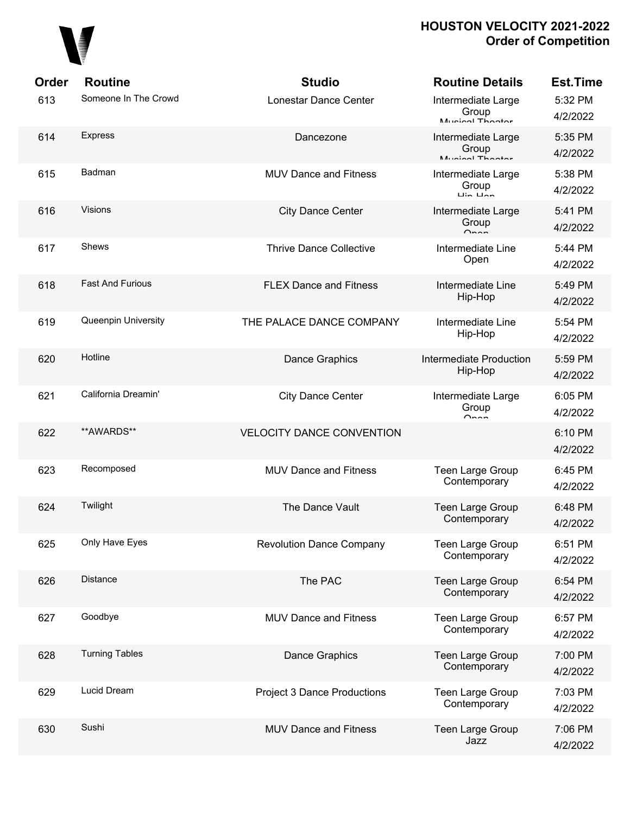

| <b>Order</b> | <b>Routine</b>          | <b>Studio</b>                      | <b>Routine Details</b>                                             | <b>Est.Time</b>     |
|--------------|-------------------------|------------------------------------|--------------------------------------------------------------------|---------------------|
| 613          | Someone In The Crowd    | Lonestar Dance Center              | Intermediate Large<br>Group<br>Munical Thooter                     | 5:32 PM<br>4/2/2022 |
| 614          | <b>Express</b>          | Dancezone                          | Intermediate Large<br>Group<br>Munical Thootor                     | 5:35 PM<br>4/2/2022 |
| 615          | Badman                  | <b>MUV Dance and Fitness</b>       | Intermediate Large<br>Group<br>$\overline{u}$ in $\overline{u}$ an | 5:38 PM<br>4/2/2022 |
| 616          | <b>Visions</b>          | <b>City Dance Center</b>           | Intermediate Large<br>Group<br>$\sim$                              | 5:41 PM<br>4/2/2022 |
| 617          | Shews                   | <b>Thrive Dance Collective</b>     | Intermediate Line<br>Open                                          | 5:44 PM<br>4/2/2022 |
| 618          | <b>Fast And Furious</b> | <b>FLEX Dance and Fitness</b>      | Intermediate Line<br>Hip-Hop                                       | 5:49 PM<br>4/2/2022 |
| 619          | Queenpin University     | THE PALACE DANCE COMPANY           | Intermediate Line<br>Hip-Hop                                       | 5:54 PM<br>4/2/2022 |
| 620          | Hotline                 | Dance Graphics                     | Intermediate Production<br>Hip-Hop                                 | 5:59 PM<br>4/2/2022 |
| 621          | California Dreamin'     | <b>City Dance Center</b>           | Intermediate Large<br>Group<br>$\cap$ non                          | 6:05 PM<br>4/2/2022 |
| 622          | **AWARDS**              | <b>VELOCITY DANCE CONVENTION</b>   |                                                                    | 6:10 PM<br>4/2/2022 |
| 623          | Recomposed              | <b>MUV Dance and Fitness</b>       | Teen Large Group<br>Contemporary                                   | 6:45 PM<br>4/2/2022 |
| 624          | Twilight                | The Dance Vault                    | <b>Teen Large Group</b><br>Contemporary                            | 6:48 PM<br>4/2/2022 |
| 625          | Only Have Eyes          | <b>Revolution Dance Company</b>    | Teen Large Group<br>Contemporary                                   | 6:51 PM<br>4/2/2022 |
| 626          | Distance                | The PAC                            | <b>Teen Large Group</b><br>Contemporary                            | 6:54 PM<br>4/2/2022 |
| 627          | Goodbye                 | <b>MUV Dance and Fitness</b>       | Teen Large Group<br>Contemporary                                   | 6:57 PM<br>4/2/2022 |
| 628          | <b>Turning Tables</b>   | Dance Graphics                     | Teen Large Group<br>Contemporary                                   | 7:00 PM<br>4/2/2022 |
| 629          | Lucid Dream             | <b>Project 3 Dance Productions</b> | Teen Large Group<br>Contemporary                                   | 7:03 PM<br>4/2/2022 |
| 630          | Sushi                   | <b>MUV Dance and Fitness</b>       | Teen Large Group<br>Jazz                                           | 7:06 PM<br>4/2/2022 |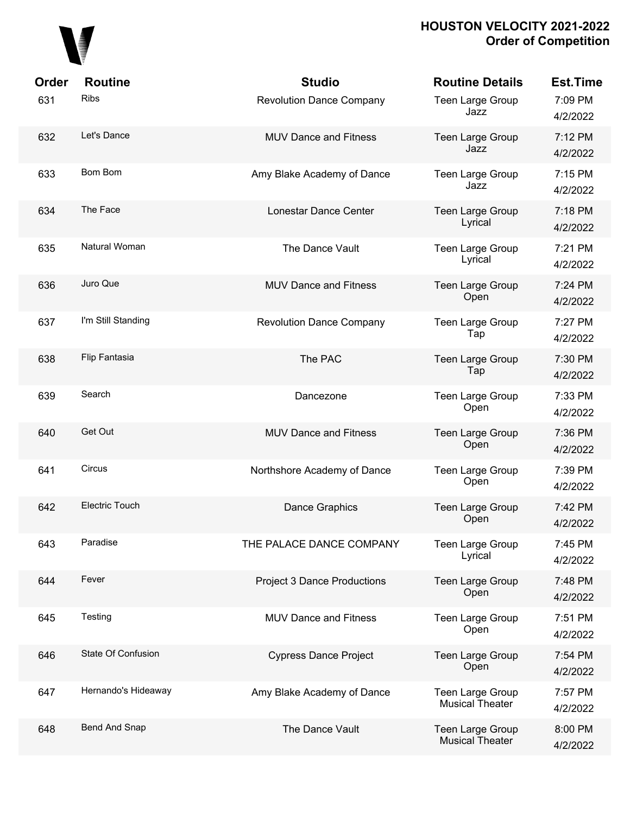

| Order | <b>Routine</b>        | <b>Studio</b>                      | <b>Routine Details</b>                     | <b>Est.Time</b>     |
|-------|-----------------------|------------------------------------|--------------------------------------------|---------------------|
| 631   | <b>Ribs</b>           | <b>Revolution Dance Company</b>    | Teen Large Group<br>Jazz                   | 7:09 PM<br>4/2/2022 |
| 632   | Let's Dance           | <b>MUV Dance and Fitness</b>       | Teen Large Group<br>Jazz                   | 7:12 PM<br>4/2/2022 |
| 633   | <b>Bom Bom</b>        | Amy Blake Academy of Dance         | Teen Large Group<br>Jazz                   | 7:15 PM<br>4/2/2022 |
| 634   | The Face              | <b>Lonestar Dance Center</b>       | Teen Large Group<br>Lyrical                | 7:18 PM<br>4/2/2022 |
| 635   | Natural Woman         | The Dance Vault                    | Teen Large Group<br>Lyrical                | 7:21 PM<br>4/2/2022 |
| 636   | Juro Que              | <b>MUV Dance and Fitness</b>       | Teen Large Group<br>Open                   | 7:24 PM<br>4/2/2022 |
| 637   | I'm Still Standing    | <b>Revolution Dance Company</b>    | Teen Large Group<br>Tap                    | 7:27 PM<br>4/2/2022 |
| 638   | Flip Fantasia         | The PAC                            | Teen Large Group<br>Tap                    | 7:30 PM<br>4/2/2022 |
| 639   | Search                | Dancezone                          | Teen Large Group<br>Open                   | 7:33 PM<br>4/2/2022 |
| 640   | Get Out               | <b>MUV Dance and Fitness</b>       | Teen Large Group<br>Open                   | 7:36 PM<br>4/2/2022 |
| 641   | <b>Circus</b>         | Northshore Academy of Dance        | Teen Large Group<br>Open                   | 7:39 PM<br>4/2/2022 |
| 642   | <b>Electric Touch</b> | Dance Graphics                     | Teen Large Group<br>Open                   | 7:42 PM<br>4/2/2022 |
| 643   | Paradise              | THE PALACE DANCE COMPANY           | Teen Large Group<br>Lyrical                | 7:45 PM<br>4/2/2022 |
| 644   | Fever                 | <b>Project 3 Dance Productions</b> | Teen Large Group<br>Open                   | 7:48 PM<br>4/2/2022 |
| 645   | Testing               | MUV Dance and Fitness              | Teen Large Group<br>Open                   | 7:51 PM<br>4/2/2022 |
| 646   | State Of Confusion    | <b>Cypress Dance Project</b>       | Teen Large Group<br>Open                   | 7:54 PM<br>4/2/2022 |
| 647   | Hernando's Hideaway   | Amy Blake Academy of Dance         | Teen Large Group<br><b>Musical Theater</b> | 7:57 PM<br>4/2/2022 |
| 648   | Bend And Snap         | The Dance Vault                    | Teen Large Group<br><b>Musical Theater</b> | 8:00 PM<br>4/2/2022 |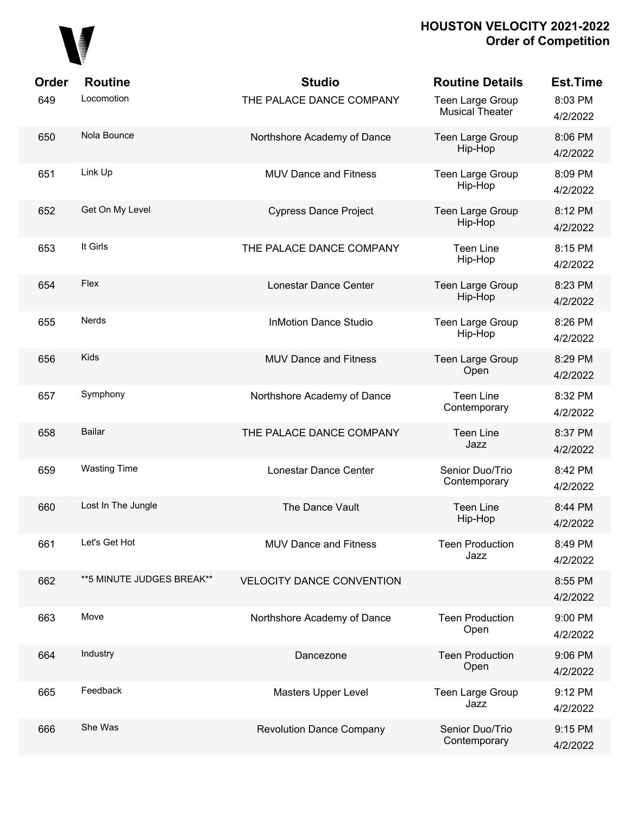

| Order | <b>Routine</b>             | <b>Studio</b>                    | <b>Routine Details</b>                     | <b>Est.Time</b>     |
|-------|----------------------------|----------------------------------|--------------------------------------------|---------------------|
| 649   | Locomotion                 | THE PALACE DANCE COMPANY         | Teen Large Group<br><b>Musical Theater</b> | 8:03 PM<br>4/2/2022 |
| 650   | Nola Bounce                | Northshore Academy of Dance      | Teen Large Group<br>Hip-Hop                | 8:06 PM<br>4/2/2022 |
| 651   | Link Up                    | <b>MUV Dance and Fitness</b>     | Teen Large Group<br>Hip-Hop                | 8:09 PM<br>4/2/2022 |
| 652   | Get On My Level            | <b>Cypress Dance Project</b>     | Teen Large Group<br>Hip-Hop                | 8:12 PM<br>4/2/2022 |
| 653   | It Girls                   | THE PALACE DANCE COMPANY         | <b>Teen Line</b><br>Hip-Hop                | 8:15 PM<br>4/2/2022 |
| 654   | Flex                       | Lonestar Dance Center            | Teen Large Group<br>Hip-Hop                | 8:23 PM<br>4/2/2022 |
| 655   | <b>Nerds</b>               | <b>InMotion Dance Studio</b>     | Teen Large Group<br>Hip-Hop                | 8:26 PM<br>4/2/2022 |
| 656   | <b>Kids</b>                | <b>MUV Dance and Fitness</b>     | <b>Teen Large Group</b><br>Open            | 8:29 PM<br>4/2/2022 |
| 657   | Symphony                   | Northshore Academy of Dance      | <b>Teen Line</b><br>Contemporary           | 8:32 PM<br>4/2/2022 |
| 658   | <b>Bailar</b>              | THE PALACE DANCE COMPANY         | <b>Teen Line</b><br>Jazz                   | 8:37 PM<br>4/2/2022 |
| 659   | <b>Wasting Time</b>        | Lonestar Dance Center            | Senior Duo/Trio<br>Contemporary            | 8:42 PM<br>4/2/2022 |
| 660   | Lost In The Jungle         | The Dance Vault                  | <b>Teen Line</b><br>Hip-Hop                | 8:44 PM<br>4/2/2022 |
| 661   | Let's Get Hot              | <b>MUV Dance and Fitness</b>     | <b>Teen Production</b><br>Jazz             | 8:49 PM<br>4/2/2022 |
| 662   | ** 5 MINUTE JUDGES BREAK** | <b>VELOCITY DANCE CONVENTION</b> |                                            | 8:55 PM<br>4/2/2022 |
| 663   | Move                       | Northshore Academy of Dance      | <b>Teen Production</b><br>Open             | 9:00 PM<br>4/2/2022 |
| 664   | Industry                   | Dancezone                        | <b>Teen Production</b><br>Open             | 9:06 PM<br>4/2/2022 |
| 665   | Feedback                   | Masters Upper Level              | <b>Teen Large Group</b><br>Jazz            | 9:12 PM<br>4/2/2022 |
| 666   | She Was                    | <b>Revolution Dance Company</b>  | Senior Duo/Trio<br>Contemporary            | 9:15 PM<br>4/2/2022 |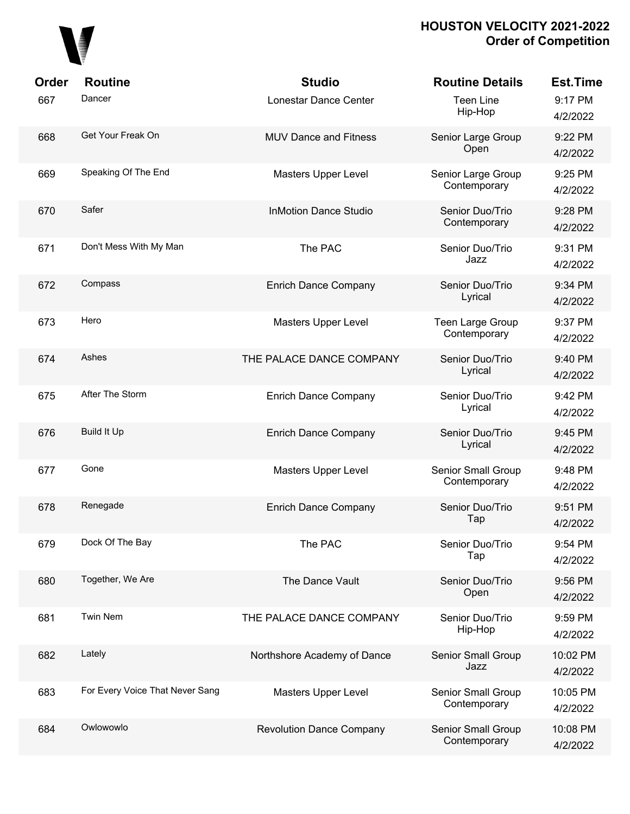

| Order | <b>Routine</b>                  | <b>Studio</b>                   | <b>Routine Details</b>             | <b>Est.Time</b>      |
|-------|---------------------------------|---------------------------------|------------------------------------|----------------------|
| 667   | Dancer                          | Lonestar Dance Center           | <b>Teen Line</b><br>Hip-Hop        | 9:17 PM<br>4/2/2022  |
| 668   | Get Your Freak On               | <b>MUV Dance and Fitness</b>    | Senior Large Group<br>Open         | 9:22 PM<br>4/2/2022  |
| 669   | Speaking Of The End             | <b>Masters Upper Level</b>      | Senior Large Group<br>Contemporary | 9:25 PM<br>4/2/2022  |
| 670   | Safer                           | <b>InMotion Dance Studio</b>    | Senior Duo/Trio<br>Contemporary    | 9:28 PM<br>4/2/2022  |
| 671   | Don't Mess With My Man          | The PAC                         | Senior Duo/Trio<br>Jazz            | 9:31 PM<br>4/2/2022  |
| 672   | Compass                         | <b>Enrich Dance Company</b>     | Senior Duo/Trio<br>Lyrical         | 9:34 PM<br>4/2/2022  |
| 673   | Hero                            | Masters Upper Level             | Teen Large Group<br>Contemporary   | 9:37 PM<br>4/2/2022  |
| 674   | Ashes                           | THE PALACE DANCE COMPANY        | Senior Duo/Trio<br>Lyrical         | 9:40 PM<br>4/2/2022  |
| 675   | After The Storm                 | <b>Enrich Dance Company</b>     | Senior Duo/Trio<br>Lyrical         | 9:42 PM<br>4/2/2022  |
| 676   | <b>Build It Up</b>              | <b>Enrich Dance Company</b>     | Senior Duo/Trio<br>Lyrical         | 9:45 PM<br>4/2/2022  |
| 677   | Gone                            | Masters Upper Level             | Senior Small Group<br>Contemporary | 9:48 PM<br>4/2/2022  |
| 678   | Renegade                        | <b>Enrich Dance Company</b>     | Senior Duo/Trio<br>Tap             | 9:51 PM<br>4/2/2022  |
| 679   | Dock Of The Bay                 | The PAC                         | Senior Duo/Trio<br>Tap             | 9:54 PM<br>4/2/2022  |
| 680   | Together, We Are                | The Dance Vault                 | Senior Duo/Trio<br>Open            | 9:56 PM<br>4/2/2022  |
| 681   | Twin Nem                        | THE PALACE DANCE COMPANY        | Senior Duo/Trio<br>Hip-Hop         | 9:59 PM<br>4/2/2022  |
| 682   | Lately                          | Northshore Academy of Dance     | Senior Small Group<br>Jazz         | 10:02 PM<br>4/2/2022 |
| 683   | For Every Voice That Never Sang | Masters Upper Level             | Senior Small Group<br>Contemporary | 10:05 PM<br>4/2/2022 |
| 684   | Owlowowlo                       | <b>Revolution Dance Company</b> | Senior Small Group<br>Contemporary | 10:08 PM<br>4/2/2022 |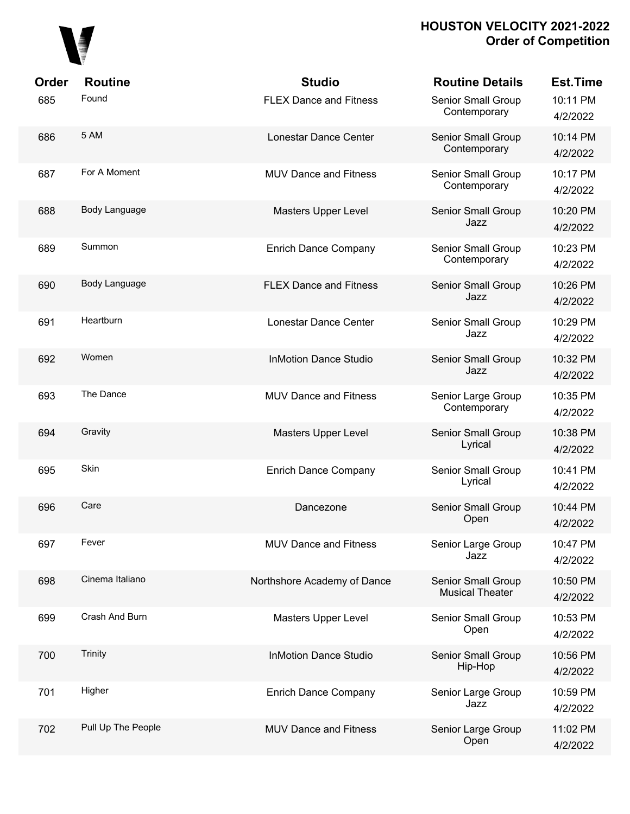

| Order | <b>Routine</b>     | <b>Studio</b>                 | <b>Routine Details</b>                       | <b>Est.Time</b>      |
|-------|--------------------|-------------------------------|----------------------------------------------|----------------------|
| 685   | Found              | <b>FLEX Dance and Fitness</b> | Senior Small Group<br>Contemporary           | 10:11 PM<br>4/2/2022 |
| 686   | 5 AM               | Lonestar Dance Center         | Senior Small Group<br>Contemporary           | 10:14 PM<br>4/2/2022 |
| 687   | For A Moment       | <b>MUV Dance and Fitness</b>  | Senior Small Group<br>Contemporary           | 10:17 PM<br>4/2/2022 |
| 688   | Body Language      | Masters Upper Level           | Senior Small Group<br>Jazz                   | 10:20 PM<br>4/2/2022 |
| 689   | Summon             | <b>Enrich Dance Company</b>   | Senior Small Group<br>Contemporary           | 10:23 PM<br>4/2/2022 |
| 690   | Body Language      | <b>FLEX Dance and Fitness</b> | Senior Small Group<br>Jazz                   | 10:26 PM<br>4/2/2022 |
| 691   | Heartburn          | Lonestar Dance Center         | Senior Small Group<br>Jazz                   | 10:29 PM<br>4/2/2022 |
| 692   | Women              | <b>InMotion Dance Studio</b>  | Senior Small Group<br>Jazz                   | 10:32 PM<br>4/2/2022 |
| 693   | The Dance          | <b>MUV Dance and Fitness</b>  | Senior Large Group<br>Contemporary           | 10:35 PM<br>4/2/2022 |
| 694   | Gravity            | Masters Upper Level           | Senior Small Group<br>Lyrical                | 10:38 PM<br>4/2/2022 |
| 695   | Skin               | <b>Enrich Dance Company</b>   | Senior Small Group<br>Lyrical                | 10:41 PM<br>4/2/2022 |
| 696   | Care               | Dancezone                     | Senior Small Group<br>Open                   | 10:44 PM<br>4/2/2022 |
| 697   | Fever              | <b>MUV Dance and Fitness</b>  | Senior Large Group<br>Jazz                   | 10:47 PM<br>4/2/2022 |
| 698   | Cinema Italiano    | Northshore Academy of Dance   | Senior Small Group<br><b>Musical Theater</b> | 10:50 PM<br>4/2/2022 |
| 699   | Crash And Burn     | Masters Upper Level           | Senior Small Group<br>Open                   | 10:53 PM<br>4/2/2022 |
| 700   | Trinity            | <b>InMotion Dance Studio</b>  | Senior Small Group<br>Hip-Hop                | 10:56 PM<br>4/2/2022 |
| 701   | Higher             | <b>Enrich Dance Company</b>   | Senior Large Group<br>Jazz                   | 10:59 PM<br>4/2/2022 |
| 702   | Pull Up The People | <b>MUV Dance and Fitness</b>  | Senior Large Group<br>Open                   | 11:02 PM<br>4/2/2022 |